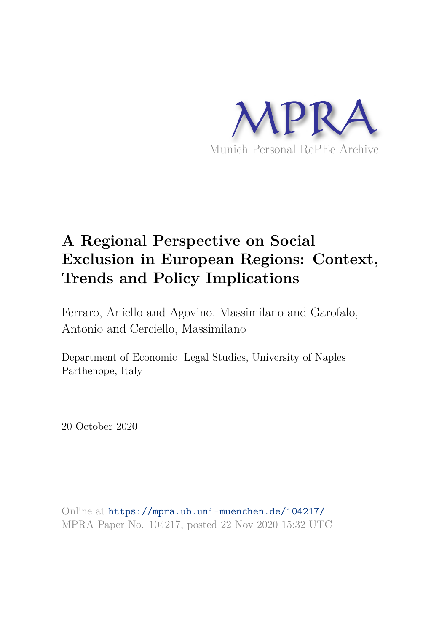

# **A Regional Perspective on Social Exclusion in European Regions: Context, Trends and Policy Implications**

Ferraro, Aniello and Agovino, Massimilano and Garofalo, Antonio and Cerciello, Massimilano

Department of Economic Legal Studies, University of Naples Parthenope, Italy

20 October 2020

Online at https://mpra.ub.uni-muenchen.de/104217/ MPRA Paper No. 104217, posted 22 Nov 2020 15:32 UTC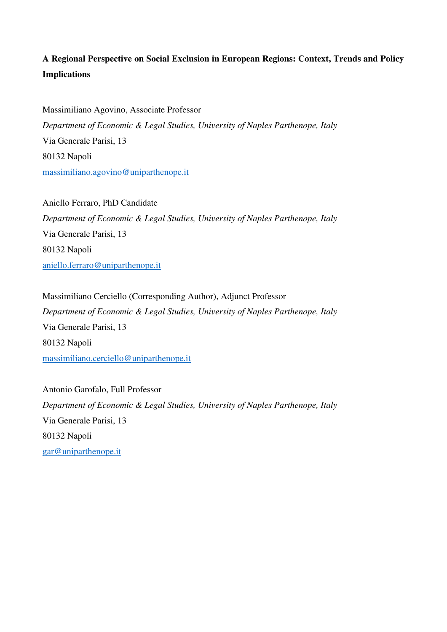# **A Regional Perspective on Social Exclusion in European Regions: Context, Trends and Policy Implications**

Massimiliano Agovino, Associate Professor *Department of Economic & Legal Studies, University of Naples Parthenope, Italy*  Via Generale Parisi, 13 80132 Napoli massimiliano.agovino@uniparthenope.it

Aniello Ferraro, PhD Candidate *Department of Economic & Legal Studies, University of Naples Parthenope, Italy*  Via Generale Parisi, 13 80132 Napoli aniello.ferraro@uniparthenope.it

Massimiliano Cerciello (Corresponding Author), Adjunct Professor *Department of Economic & Legal Studies, University of Naples Parthenope, Italy*  Via Generale Parisi, 13 80132 Napoli massimiliano.cerciello@uniparthenope.it

Antonio Garofalo, Full Professor *Department of Economic & Legal Studies, University of Naples Parthenope, Italy*  Via Generale Parisi, 13 80132 Napoli gar@uniparthenope.it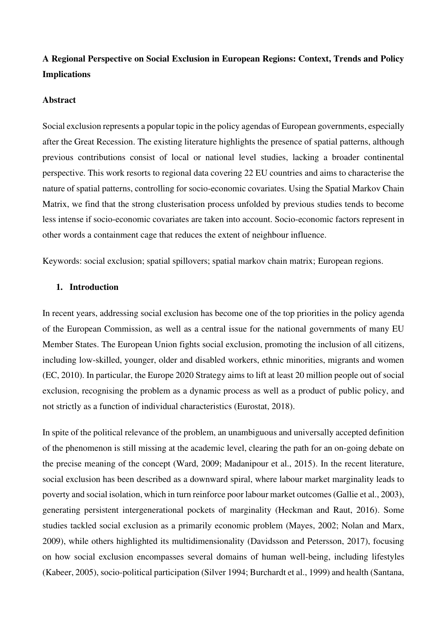# **A Regional Perspective on Social Exclusion in European Regions: Context, Trends and Policy Implications**

#### **Abstract**

Social exclusion represents a popular topic in the policy agendas of European governments, especially after the Great Recession. The existing literature highlights the presence of spatial patterns, although previous contributions consist of local or national level studies, lacking a broader continental perspective. This work resorts to regional data covering 22 EU countries and aims to characterise the nature of spatial patterns, controlling for socio-economic covariates. Using the Spatial Markov Chain Matrix, we find that the strong clusterisation process unfolded by previous studies tends to become less intense if socio-economic covariates are taken into account. Socio-economic factors represent in other words a containment cage that reduces the extent of neighbour influence.

Keywords: social exclusion; spatial spillovers; spatial markov chain matrix; European regions.

#### **1. Introduction**

In recent years, addressing social exclusion has become one of the top priorities in the policy agenda of the European Commission, as well as a central issue for the national governments of many EU Member States. The European Union fights social exclusion, promoting the inclusion of all citizens, including low-skilled, younger, older and disabled workers, ethnic minorities, migrants and women (EC, 2010). In particular, the Europe 2020 Strategy aims to lift at least 20 million people out of social exclusion, recognising the problem as a dynamic process as well as a product of public policy, and not strictly as a function of individual characteristics (Eurostat, 2018).

In spite of the political relevance of the problem, an unambiguous and universally accepted definition of the phenomenon is still missing at the academic level, clearing the path for an on-going debate on the precise meaning of the concept (Ward, 2009; Madanipour et al., 2015). In the recent literature, social exclusion has been described as a downward spiral, where labour market marginality leads to poverty and social isolation, which in turn reinforce poor labour market outcomes (Gallie et al., 2003), generating persistent intergenerational pockets of marginality (Heckman and Raut, 2016). Some studies tackled social exclusion as a primarily economic problem (Mayes, 2002; Nolan and Marx, 2009), while others highlighted its multidimensionality (Davidsson and Petersson, 2017), focusing on how social exclusion encompasses several domains of human well-being, including lifestyles (Kabeer, 2005), socio-political participation (Silver 1994; Burchardt et al., 1999) and health (Santana,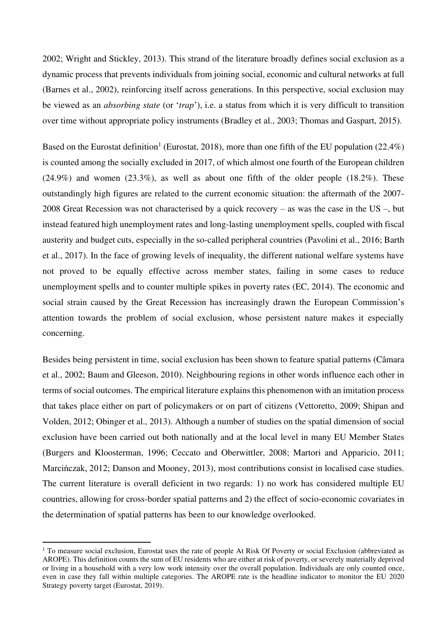2002; Wright and Stickley, 2013). This strand of the literature broadly defines social exclusion as a dynamic process that prevents individuals from joining social, economic and cultural networks at full (Barnes et al., 2002), reinforcing itself across generations. In this perspective, social exclusion may be viewed as an *absorbing state* (or '*trap*'), i.e. a status from which it is very difficult to transition over time without appropriate policy instruments (Bradley et al., 2003; Thomas and Gaspart, 2015).

Based on the Eurostat definition<sup>1</sup> (Eurostat, 2018), more than one fifth of the EU population (22.4%) is counted among the socially excluded in 2017, of which almost one fourth of the European children  $(24.9\%)$  and women  $(23.3\%)$ , as well as about one fifth of the older people  $(18.2\%)$ . These outstandingly high figures are related to the current economic situation: the aftermath of the 2007- 2008 Great Recession was not characterised by a quick recovery – as was the case in the US –, but instead featured high unemployment rates and long-lasting unemployment spells, coupled with fiscal austerity and budget cuts, especially in the so-called peripheral countries (Pavolini et al., 2016; Barth et al., 2017). In the face of growing levels of inequality, the different national welfare systems have not proved to be equally effective across member states, failing in some cases to reduce unemployment spells and to counter multiple spikes in poverty rates (EC, 2014). The economic and social strain caused by the Great Recession has increasingly drawn the European Commission's attention towards the problem of social exclusion, whose persistent nature makes it especially concerning.

Besides being persistent in time, social exclusion has been shown to feature spatial patterns (Câmara et al., 2002; Baum and Gleeson, 2010). Neighbouring regions in other words influence each other in terms of social outcomes. The empirical literature explains this phenomenon with an imitation process that takes place either on part of policymakers or on part of citizens (Vettoretto, 2009; Shipan and Volden, 2012; Obinger et al., 2013). Although a number of studies on the spatial dimension of social exclusion have been carried out both nationally and at the local level in many EU Member States (Burgers and Kloosterman, 1996; Ceccato and Oberwittler, 2008; Martori and Apparicio, 2011; Marcińczak, 2012; Danson and Mooney, 2013), most contributions consist in localised case studies. The current literature is overall deficient in two regards: 1) no work has considered multiple EU countries, allowing for cross-border spatial patterns and 2) the effect of socio-economic covariates in the determination of spatial patterns has been to our knowledge overlooked.

<sup>&</sup>lt;sup>1</sup> To measure social exclusion, Eurostat uses the rate of people At Risk Of Poverty or social Exclusion (abbreviated as AROPE). This definition counts the sum of EU residents who are either at risk of poverty, or severely materially deprived or living in a household with a very low work intensity over the overall population. Individuals are only counted once, even in case they fall within multiple categories. The AROPE rate is the headline indicator to monitor the EU 2020 Strategy poverty target (Eurostat, 2019).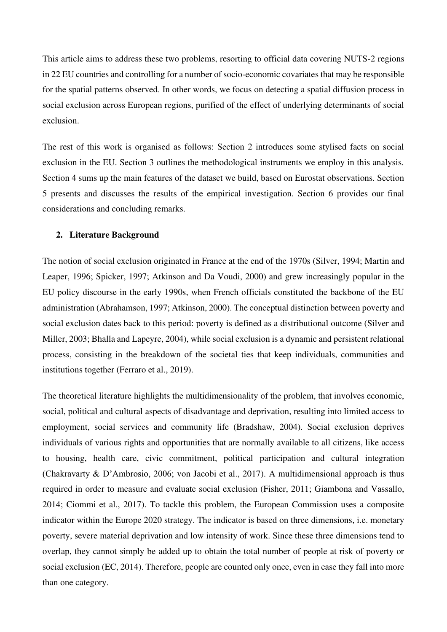This article aims to address these two problems, resorting to official data covering NUTS-2 regions in 22 EU countries and controlling for a number of socio-economic covariates that may be responsible for the spatial patterns observed. In other words, we focus on detecting a spatial diffusion process in social exclusion across European regions, purified of the effect of underlying determinants of social exclusion.

The rest of this work is organised as follows: Section 2 introduces some stylised facts on social exclusion in the EU. Section 3 outlines the methodological instruments we employ in this analysis. Section 4 sums up the main features of the dataset we build, based on Eurostat observations. Section 5 presents and discusses the results of the empirical investigation. Section 6 provides our final considerations and concluding remarks.

#### **2. Literature Background**

The notion of social exclusion originated in France at the end of the 1970s (Silver, 1994; Martin and Leaper, 1996; Spicker, 1997; Atkinson and Da Voudi, 2000) and grew increasingly popular in the EU policy discourse in the early 1990s, when French officials constituted the backbone of the EU administration (Abrahamson, 1997; Atkinson, 2000). The conceptual distinction between poverty and social exclusion dates back to this period: poverty is defined as a distributional outcome (Silver and Miller, 2003; Bhalla and Lapeyre, 2004), while social exclusion is a dynamic and persistent relational process, consisting in the breakdown of the societal ties that keep individuals, communities and institutions together (Ferraro et al., 2019).

The theoretical literature highlights the multidimensionality of the problem, that involves economic, social, political and cultural aspects of disadvantage and deprivation, resulting into limited access to employment, social services and community life (Bradshaw, 2004). Social exclusion deprives individuals of various rights and opportunities that are normally available to all citizens, like access to housing, health care, civic commitment, political participation and cultural integration (Chakravarty & D'Ambrosio, 2006; von Jacobi et al., 2017). A multidimensional approach is thus required in order to measure and evaluate social exclusion (Fisher, 2011; Giambona and Vassallo, 2014; Ciommi et al., 2017). To tackle this problem, the European Commission uses a composite indicator within the Europe 2020 strategy. The indicator is based on three dimensions, i.e. monetary poverty, severe material deprivation and low intensity of work. Since these three dimensions tend to overlap, they cannot simply be added up to obtain the total number of people at risk of poverty or social exclusion (EC, 2014). Therefore, people are counted only once, even in case they fall into more than one category.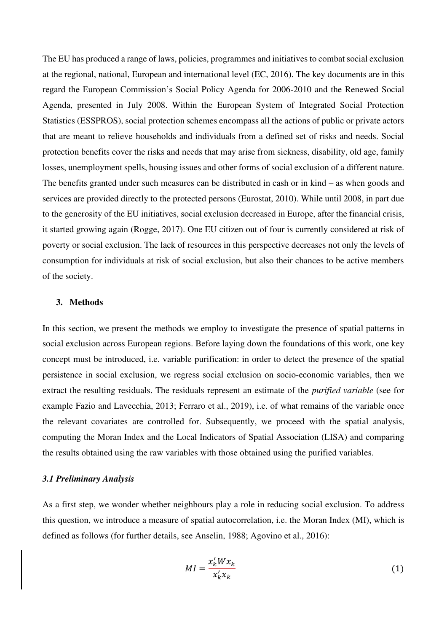The EU has produced a range of laws, policies, programmes and initiatives to combat social exclusion at the regional, national, European and international level (EC, 2016). The key documents are in this regard the European Commission's Social Policy Agenda for 2006-2010 and the Renewed Social Agenda, presented in July 2008. Within the European System of Integrated Social Protection Statistics (ESSPROS), social protection schemes encompass all the actions of public or private actors that are meant to relieve households and individuals from a defined set of risks and needs. Social protection benefits cover the risks and needs that may arise from sickness, disability, old age, family losses, unemployment spells, housing issues and other forms of social exclusion of a different nature. The benefits granted under such measures can be distributed in cash or in kind – as when goods and services are provided directly to the protected persons (Eurostat, 2010). While until 2008, in part due to the generosity of the EU initiatives, social exclusion decreased in Europe, after the financial crisis, it started growing again (Rogge, 2017). One EU citizen out of four is currently considered at risk of poverty or social exclusion. The lack of resources in this perspective decreases not only the levels of consumption for individuals at risk of social exclusion, but also their chances to be active members of the society.

## **3. Methods**

In this section, we present the methods we employ to investigate the presence of spatial patterns in social exclusion across European regions. Before laying down the foundations of this work, one key concept must be introduced, i.e. variable purification: in order to detect the presence of the spatial persistence in social exclusion, we regress social exclusion on socio-economic variables, then we extract the resulting residuals. The residuals represent an estimate of the *purified variable* (see for example Fazio and Lavecchia, 2013; Ferraro et al., 2019), i.e. of what remains of the variable once the relevant covariates are controlled for. Subsequently, we proceed with the spatial analysis, computing the Moran Index and the Local Indicators of Spatial Association (LISA) and comparing the results obtained using the raw variables with those obtained using the purified variables.

#### *3.1 Preliminary Analysis*

As a first step, we wonder whether neighbours play a role in reducing social exclusion. To address this question, we introduce a measure of spatial autocorrelation, i.e. the Moran Index (MI), which is defined as follows (for further details, see Anselin, 1988; Agovino et al., 2016):

$$
MI = \frac{x_k' W x_k}{x_k' x_k} \tag{1}
$$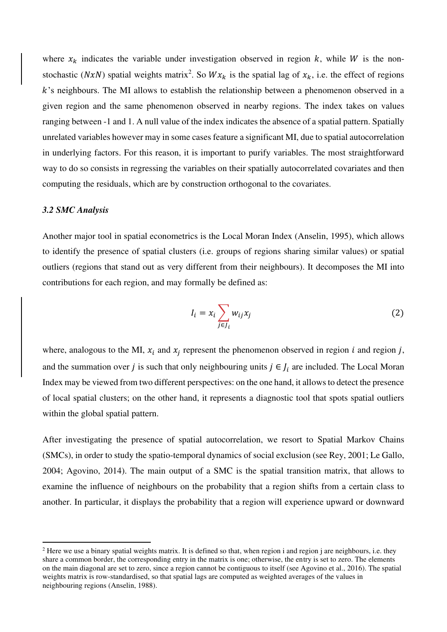where  $x_k$  indicates the variable under investigation observed in region k, while W is the nonstochastic (NxN) spatial weights matrix<sup>2</sup>. So  $Wx_k$  is the spatial lag of  $x_k$ , i.e. the effect of regions  $k$ 's neighbours. The MI allows to establish the relationship between a phenomenon observed in a given region and the same phenomenon observed in nearby regions. The index takes on values ranging between -1 and 1. A null value of the index indicates the absence of a spatial pattern. Spatially unrelated variables however may in some cases feature a significant MI, due to spatial autocorrelation in underlying factors. For this reason, it is important to purify variables. The most straightforward way to do so consists in regressing the variables on their spatially autocorrelated covariates and then computing the residuals, which are by construction orthogonal to the covariates.

#### *3.2 SMC Analysis*

Another major tool in spatial econometrics is the Local Moran Index (Anselin, 1995), which allows to identify the presence of spatial clusters (i.e. groups of regions sharing similar values) or spatial outliers (regions that stand out as very different from their neighbours). It decomposes the MI into contributions for each region, and may formally be defined as:

$$
I_i = x_i \sum_{j \in J_i} w_{ij} x_j \tag{2}
$$

where, analogous to the MI,  $x_i$  and  $x_j$  represent the phenomenon observed in region i and region j, and the summation over *j* is such that only neighbouring units  $j \in J_i$  are included. The Local Moran Index may be viewed from two different perspectives: on the one hand, it allows to detect the presence of local spatial clusters; on the other hand, it represents a diagnostic tool that spots spatial outliers within the global spatial pattern.

After investigating the presence of spatial autocorrelation, we resort to Spatial Markov Chains (SMCs), in order to study the spatio-temporal dynamics of social exclusion (see Rey, 2001; Le Gallo, 2004; Agovino, 2014). The main output of a SMC is the spatial transition matrix, that allows to examine the influence of neighbours on the probability that a region shifts from a certain class to another. In particular, it displays the probability that a region will experience upward or downward

<sup>&</sup>lt;sup>2</sup> Here we use a binary spatial weights matrix. It is defined so that, when region i and region j are neighbours, i.e. they share a common border, the corresponding entry in the matrix is one; otherwise, the entry is set to zero. The elements on the main diagonal are set to zero, since a region cannot be contiguous to itself (see Agovino et al., 2016). The spatial weights matrix is row-standardised, so that spatial lags are computed as weighted averages of the values in neighbouring regions (Anselin, 1988).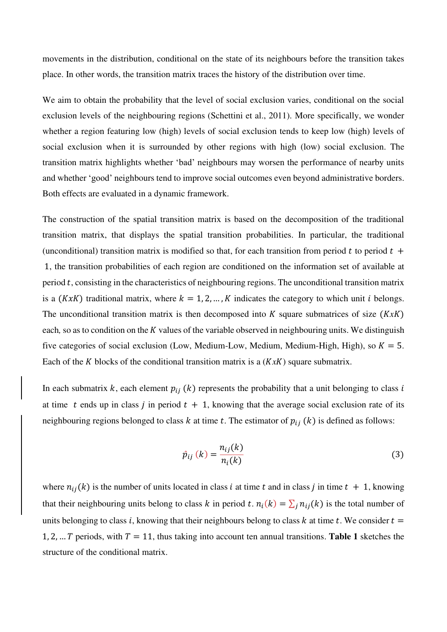movements in the distribution, conditional on the state of its neighbours before the transition takes place. In other words, the transition matrix traces the history of the distribution over time.

We aim to obtain the probability that the level of social exclusion varies, conditional on the social exclusion levels of the neighbouring regions (Schettini et al., 2011). More specifically, we wonder whether a region featuring low (high) levels of social exclusion tends to keep low (high) levels of social exclusion when it is surrounded by other regions with high (low) social exclusion. The transition matrix highlights whether 'bad' neighbours may worsen the performance of nearby units and whether 'good' neighbours tend to improve social outcomes even beyond administrative borders. Both effects are evaluated in a dynamic framework.

The construction of the spatial transition matrix is based on the decomposition of the traditional transition matrix, that displays the spatial transition probabilities. In particular, the traditional (unconditional) transition matrix is modified so that, for each transition from period t to period  $t +$  1, the transition probabilities of each region are conditioned on the information set of available at period  $t$ , consisting in the characteristics of neighbouring regions. The unconditional transition matrix is a  $(KxK)$  traditional matrix, where  $k = 1, 2, ..., K$  indicates the category to which unit *i* belongs. The unconditional transition matrix is then decomposed into  $K$  square submatrices of size  $(KxK)$ each, so as to condition on the K values of the variable observed in neighbouring units. We distinguish five categories of social exclusion (Low, Medium-Low, Medium, Medium-High, High), so  $K = 5$ . Each of the K blocks of the conditional transition matrix is a  $(KxK)$  square submatrix.

In each submatrix k, each element  $p_{ij}(k)$  represents the probability that a unit belonging to class i at time t ends up in class j in period  $t + 1$ , knowing that the average social exclusion rate of its neighbouring regions belonged to class k at time t. The estimator of  $p_{ij}$  (k) is defined as follows:

$$
\hat{p}_{ij}(k) = \frac{n_{ij}(k)}{n_i(k)}\tag{3}
$$

where  $n_{ij}(k)$  is the number of units located in class *i* at time *t* and in class *j* in time  $t + 1$ , knowing that their neighbouring units belong to class k in period t.  $n_i(k) = \sum_j n_{ij}(k)$  is the total number of units belonging to class i, knowing that their neighbours belong to class k at time t. We consider  $t =$ 1, 2, ... T periods, with  $T = 11$ , thus taking into account ten annual transitions. **Table 1** sketches the structure of the conditional matrix.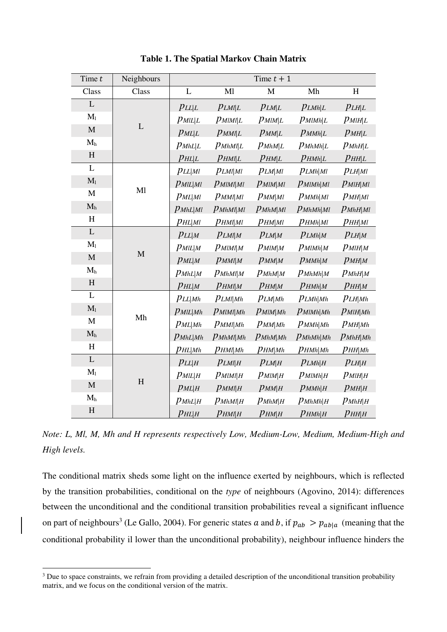| Time $t$       | Neighbours             |                               |                             | Time $t + 1$       |                 |              |
|----------------|------------------------|-------------------------------|-----------------------------|--------------------|-----------------|--------------|
| Class          | Class                  | L                             | Ml                          | M                  | Mh              | H            |
| L              |                        | PLL L                         | PLMIL                       | PLM L              | PLMh L          | PLH L        |
| $M_1$          |                        | $p_{\textit{MIL} L}$          | $p_{MlMl L}$                | $p_{MIM L}$        | $p_{MlMh L}$    | $p_{MlH L}$  |
| $\mathbf M$    | $\mathbf L$            | $p_{ML L}$                    | $p_{MMI L}$                 | $p_{MM L}$         | $p_{M M h L}$   | $p_{MH L}$   |
| $\mathbf{M}_h$ |                        | $p_{MhL L}$                   | $p_{MhMl L}$                | $p_{MhM L}$        | $p_{MhMh L}$    | $p_{MhH L}$  |
| H              |                        | $p_{H L \mid L}$              | $p_{HMI L}$                 | $p_{HM L}$         | $p_{H M h L}$   | $p_{HH L}$   |
| L              |                        | $PLL$  Ml                     | $p_{LMI MI}$                | $p_{LM Ml}$        | PLMh MI         | $PLH$  Ml    |
| $\mathbf{M}_1$ |                        | $p_{\text{MIL} \text{M1}}$    | $p$ <i>MIMI</i>   <i>MI</i> | $p_{MlM Ml}$       | $p_{MlMh Ml}$   | $p_{MlH Ml}$ |
| M              | M1                     | $p_{ML M}$                    | $p_{MM MI}$                 | $p_{MM M}$         | $p_{M M h M}$   | $p_{MH MI}$  |
| $\mathbf{M}_h$ |                        | $p_{MhL Ml}$                  | $p_{MhMl Ml}$               | $p_{MhM Ml}$       | $p_{MhMh Ml}$   | $p_{MhH Ml}$ |
| H              |                        | $p_{HL Ml}$                   | $p_{H\!Ml Ml}$              | рнм мі             | $p_{H M h M l}$ | рнн мі       |
| L              |                        | PLL M                         | $p_{LMI M}$                 | $p_{LM M}$         | $p_{LMh M}$     | PLH M        |
| M <sub>1</sub> |                        | $p_{\textit{MIL} M}$          | $P$ <i>MIMI</i>   <i>M</i>  | $p_{MlM M}$        | $p_{MlMh M}$    | $p_{MlH M}$  |
| $\mathbf M$    | $\mathbf M$            | $p_{ML M}$                    | $p_{MM M}$                  | $P$ <i>MM</i> $ M$ | $p_{M M h M}$   | $p_{MH M}$   |
| $M_h$          |                        | $p_{MhL M}$                   | $p_{MhMl M}$                | $p_{MhM M}$        | $p_{MhMh M}$    | $p_{MhH M}$  |
| H              |                        | $p_{H\!L\mid M}$              | $p_{HMI M}$                 | $p_{HM M}$         | $p_{H M h M}$   | $p_{HH M}$   |
| L              |                        | $PLL$  Mh                     | $p_{LMI Mh}$                | $p_{LM Mh}$        | PLMh Mh         | $p_{LH Mh}$  |
| M <sub>1</sub> |                        | $p_{\text{MIL} Mh}$           | $p_{MlMl Mh}$               | $p_{MlM Mh}$       | $p_{MlMh Mh}$   | $p_{MlH Mh}$ |
| $\mathbf M$    | $\mathbf{M}\mathbf{h}$ | $p_{ML Mh}$                   | $p_{MMl Mh}$                | $p_{MM Mh}$        | $p_{M M h M h}$ | $p_{MH Mh}$  |
| $M_h$          |                        | $p_{MhL Mh}$                  | $p_{MhMl Mh}$               | $p_{MhM Mh}$       | $p_{MhMh Mh}$   | $p_{MhH Mh}$ |
| H              |                        | $p_{HL\mid Mh}$               | $p_{H\!Ml Mh}$              | $p_{HM Mh}$        | $p_{H M h M h}$ | $p_{HH Mh}$  |
| L              |                        | PLL H                         | $p_{LMI H}$                 | $p_{LM H}$         | $p_{LMh H}$     | $p_{LH H}$   |
| $M_1$          |                        | $p_{\textit{MIL} \textit{H}}$ | $p_{MlMl H}$                | $p_{MlM H}$        | $p_{MlMh H}$    | $p_{MlH H}$  |
| $\mathbf M$    | $\rm H$                | $p_{ML H}$                    | $p_{MMI H}$                 | $p_{MM H}$         | $p_{M M h H}$   | $p_{MH H}$   |
| $M_h$          |                        | $p_{MhL H}$                   | $p_{MhMl H}$                | $p_{MhM H}$        | $p_{MhMh H}$    | $p_{MhH H}$  |
| H              |                        | $p_{H L H}$                   | $p_{H\!M\!l H}$             | $p_{HM H}$         | $p_{H M h H}$   | $p_{HH H}$   |

**Table 1. The Spatial Markov Chain Matrix** 

*Note: L, Ml, M, Mh and H represents respectively Low, Medium-Low, Medium, Medium-High and High levels.* 

The conditional matrix sheds some light on the influence exerted by neighbours, which is reflected by the transition probabilities, conditional on the *type* of neighbours (Agovino, 2014): differences between the unconditional and the conditional transition probabilities reveal a significant influence on part of neighbours<sup>3</sup> (Le Gallo, 2004). For generic states a and b, if  $p_{ab} > p_{ab|a}$  (meaning that the conditional probability il lower than the unconditional probability), neighbour influence hinders the

 $3$  Due to space constraints, we refrain from providing a detailed description of the unconditional transition probability matrix, and we focus on the conditional version of the matrix.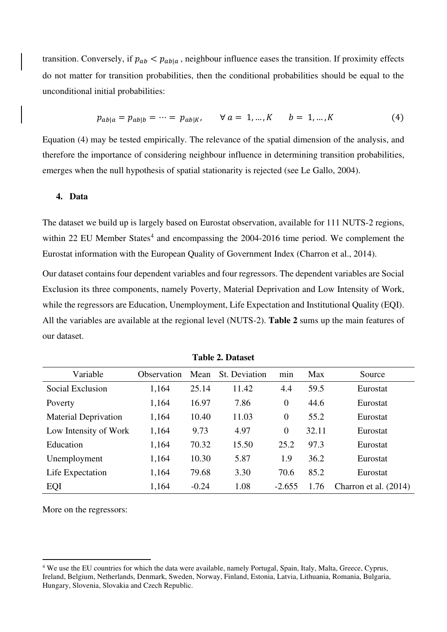transition. Conversely, if  $p_{ab} < p_{ab|a}$ , neighbour influence eases the transition. If proximity effects do not matter for transition probabilities, then the conditional probabilities should be equal to the unconditional initial probabilities:

$$
p_{ab|a} = p_{ab|b} = \dots = p_{ab|K}, \qquad \forall \ a = 1, \dots, K \qquad b = 1, \dots, K \tag{4}
$$

Equation (4) may be tested empirically. The relevance of the spatial dimension of the analysis, and therefore the importance of considering neighbour influence in determining transition probabilities, emerges when the null hypothesis of spatial stationarity is rejected (see Le Gallo, 2004).

#### **4. Data**

The dataset we build up is largely based on Eurostat observation, available for 111 NUTS-2 regions, within 22 EU Member States<sup>4</sup> and encompassing the 2004-2016 time period. We complement the Eurostat information with the European Quality of Government Index (Charron et al., 2014).

Our dataset contains four dependent variables and four regressors. The dependent variables are Social Exclusion its three components, namely Poverty, Material Deprivation and Low Intensity of Work, while the regressors are Education, Unemployment, Life Expectation and Institutional Quality (EQI). All the variables are available at the regional level (NUTS-2). **Table 2** sums up the main features of our dataset.

| Variable                    | Observation | Mean    | St. Deviation | min      | Max   | Source                |
|-----------------------------|-------------|---------|---------------|----------|-------|-----------------------|
| Social Exclusion            | 1,164       | 25.14   | 11.42         | 4.4      | 59.5  | Eurostat              |
| Poverty                     | 1,164       | 16.97   | 7.86          | $\theta$ | 44.6  | Eurostat              |
| <b>Material Deprivation</b> | 1,164       | 10.40   | 11.03         | $\theta$ | 55.2  | Eurostat              |
| Low Intensity of Work       | 1,164       | 9.73    | 4.97          | $\Omega$ | 32.11 | Eurostat              |
| Education                   | 1,164       | 70.32   | 15.50         | 25.2     | 97.3  | Eurostat              |
| Unemployment                | 1,164       | 10.30   | 5.87          | 1.9      | 36.2  | Eurostat              |
| Life Expectation            | 1,164       | 79.68   | 3.30          | 70.6     | 85.2  | Eurostat              |
| EQI                         | 1,164       | $-0.24$ | 1.08          | $-2.655$ | 1.76  | Charron et al. (2014) |

**Table 2. Dataset** 

More on the regressors:

<sup>&</sup>lt;sup>4</sup> We use the EU countries for which the data were available, namely Portugal, Spain, Italy, Malta, Greece, Cyprus, Ireland, Belgium, Netherlands, Denmark, Sweden, Norway, Finland, Estonia, Latvia, Lithuania, Romania, Bulgaria, Hungary, Slovenia, Slovakia and Czech Republic.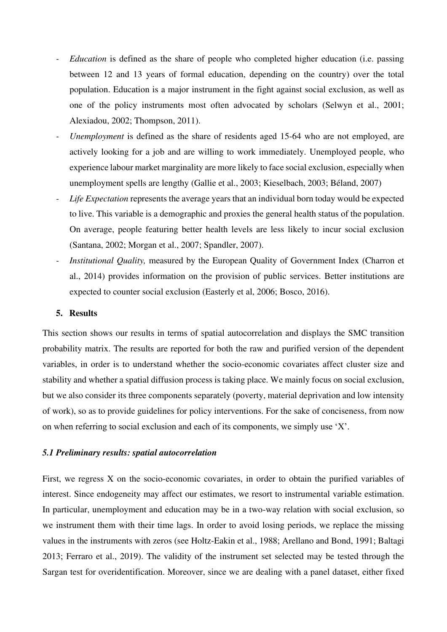- *Education* is defined as the share of people who completed higher education (i.e. passing between 12 and 13 years of formal education, depending on the country) over the total population. Education is a major instrument in the fight against social exclusion, as well as one of the policy instruments most often advocated by scholars (Selwyn et al., 2001; Alexiadou, 2002; Thompson, 2011).
- *Unemployment* is defined as the share of residents aged 15-64 who are not employed, are actively looking for a job and are willing to work immediately. Unemployed people, who experience labour market marginality are more likely to face social exclusion, especially when unemployment spells are lengthy (Gallie et al., 2003; Kieselbach, 2003; Béland, 2007)
- Life Expectation represents the average years that an individual born today would be expected to live. This variable is a demographic and proxies the general health status of the population. On average, people featuring better health levels are less likely to incur social exclusion (Santana, 2002; Morgan et al., 2007; Spandler, 2007).
- *Institutional Quality*, measured by the European Quality of Government Index (Charron et al., 2014) provides information on the provision of public services. Better institutions are expected to counter social exclusion (Easterly et al, 2006; Bosco, 2016).

#### **5. Results**

This section shows our results in terms of spatial autocorrelation and displays the SMC transition probability matrix. The results are reported for both the raw and purified version of the dependent variables, in order is to understand whether the socio-economic covariates affect cluster size and stability and whether a spatial diffusion process is taking place. We mainly focus on social exclusion, but we also consider its three components separately (poverty, material deprivation and low intensity of work), so as to provide guidelines for policy interventions. For the sake of conciseness, from now on when referring to social exclusion and each of its components, we simply use 'X'.

#### *5.1 Preliminary results: spatial autocorrelation*

First, we regress X on the socio-economic covariates, in order to obtain the purified variables of interest. Since endogeneity may affect our estimates, we resort to instrumental variable estimation. In particular, unemployment and education may be in a two-way relation with social exclusion, so we instrument them with their time lags. In order to avoid losing periods, we replace the missing values in the instruments with zeros (see Holtz-Eakin et al., 1988; Arellano and Bond, 1991; Baltagi 2013; Ferraro et al., 2019). The validity of the instrument set selected may be tested through the Sargan test for overidentification. Moreover, since we are dealing with a panel dataset, either fixed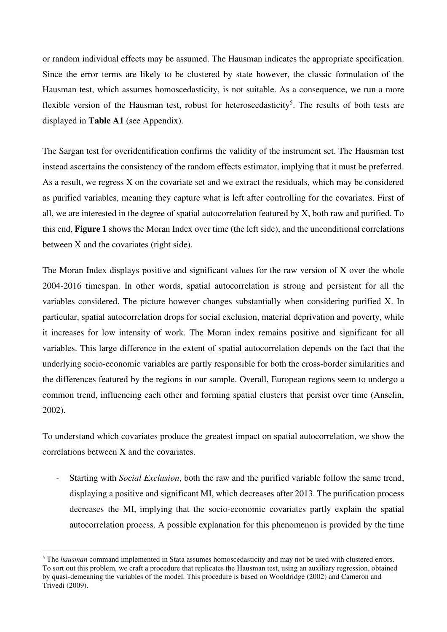or random individual effects may be assumed. The Hausman indicates the appropriate specification. Since the error terms are likely to be clustered by state however, the classic formulation of the Hausman test, which assumes homoscedasticity, is not suitable. As a consequence, we run a more flexible version of the Hausman test, robust for heteroscedasticity<sup>5</sup>. The results of both tests are displayed in **Table A1** (see Appendix).

The Sargan test for overidentification confirms the validity of the instrument set. The Hausman test instead ascertains the consistency of the random effects estimator, implying that it must be preferred. As a result, we regress X on the covariate set and we extract the residuals, which may be considered as purified variables, meaning they capture what is left after controlling for the covariates. First of all, we are interested in the degree of spatial autocorrelation featured by X, both raw and purified. To this end, **Figure 1** shows the Moran Index over time (the left side), and the unconditional correlations between X and the covariates (right side).

The Moran Index displays positive and significant values for the raw version of X over the whole 2004-2016 timespan. In other words, spatial autocorrelation is strong and persistent for all the variables considered. The picture however changes substantially when considering purified X. In particular, spatial autocorrelation drops for social exclusion, material deprivation and poverty, while it increases for low intensity of work. The Moran index remains positive and significant for all variables. This large difference in the extent of spatial autocorrelation depends on the fact that the underlying socio-economic variables are partly responsible for both the cross-border similarities and the differences featured by the regions in our sample. Overall, European regions seem to undergo a common trend, influencing each other and forming spatial clusters that persist over time (Anselin, 2002).

To understand which covariates produce the greatest impact on spatial autocorrelation, we show the correlations between X and the covariates.

*-* Starting with *Social Exclusion*, both the raw and the purified variable follow the same trend, displaying a positive and significant MI, which decreases after 2013. The purification process decreases the MI, implying that the socio-economic covariates partly explain the spatial autocorrelation process. A possible explanation for this phenomenon is provided by the time

<sup>&</sup>lt;sup>5</sup> The *hausman* command implemented in Stata assumes homoscedasticity and may not be used with clustered errors. To sort out this problem, we craft a procedure that replicates the Hausman test, using an auxiliary regression, obtained by quasi-demeaning the variables of the model. This procedure is based on Wooldridge (2002) and Cameron and Trivedi (2009).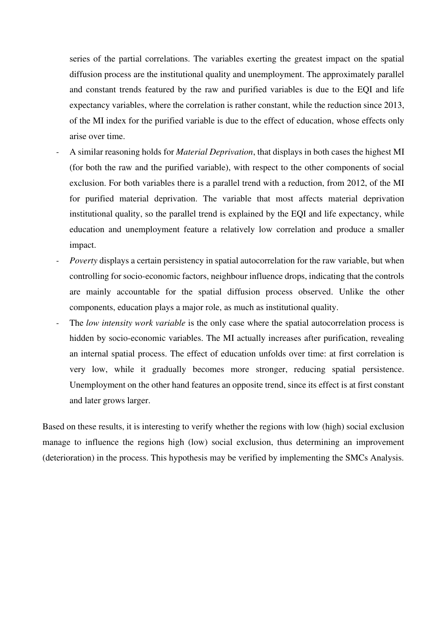series of the partial correlations. The variables exerting the greatest impact on the spatial diffusion process are the institutional quality and unemployment. The approximately parallel and constant trends featured by the raw and purified variables is due to the EQI and life expectancy variables, where the correlation is rather constant, while the reduction since 2013, of the MI index for the purified variable is due to the effect of education, whose effects only arise over time.

- *-* A similar reasoning holds for *Material Deprivation*, that displays in both cases the highest MI (for both the raw and the purified variable), with respect to the other components of social exclusion. For both variables there is a parallel trend with a reduction, from 2012, of the MI for purified material deprivation. The variable that most affects material deprivation institutional quality, so the parallel trend is explained by the EQI and life expectancy, while education and unemployment feature a relatively low correlation and produce a smaller impact.
- *Poverty* displays a certain persistency in spatial autocorrelation for the raw variable, but when controlling for socio-economic factors, neighbour influence drops, indicating that the controls are mainly accountable for the spatial diffusion process observed. Unlike the other components, education plays a major role, as much as institutional quality.
- The *low intensity work variable* is the only case where the spatial autocorrelation process is hidden by socio-economic variables. The MI actually increases after purification, revealing an internal spatial process. The effect of education unfolds over time: at first correlation is very low, while it gradually becomes more stronger, reducing spatial persistence. Unemployment on the other hand features an opposite trend, since its effect is at first constant and later grows larger.

Based on these results, it is interesting to verify whether the regions with low (high) social exclusion manage to influence the regions high (low) social exclusion, thus determining an improvement (deterioration) in the process. This hypothesis may be verified by implementing the SMCs Analysis.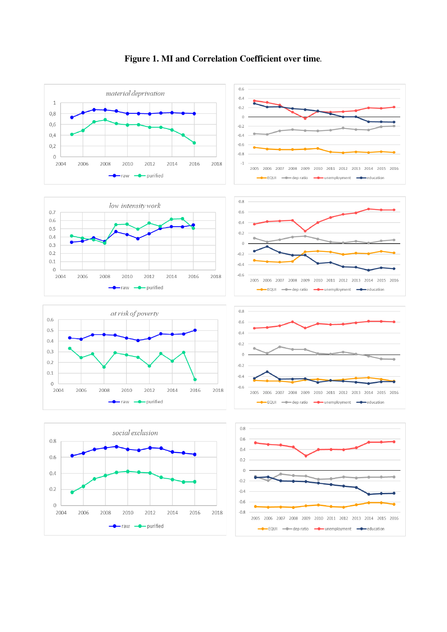

# **Figure 1. MI and Correlation Coefficient over time***.*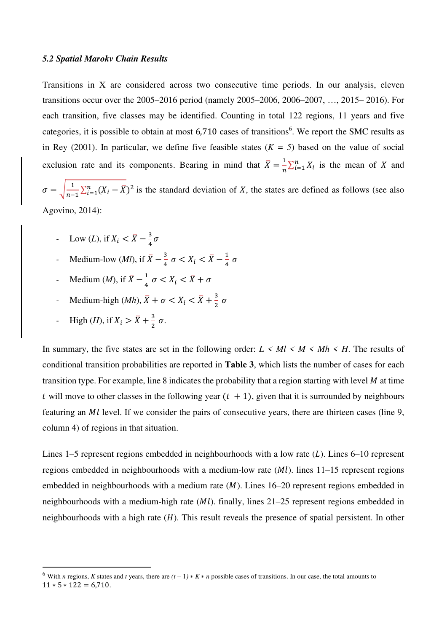#### *5.2 Spatial Marokv Chain Results*

Transitions in X are considered across two consecutive time periods. In our analysis, eleven transitions occur over the 2005–2016 period (namely 2005–2006, 2006–2007, …, 2015– 2016). For each transition, five classes may be identified. Counting in total 122 regions, 11 years and five categories, it is possible to obtain at most 6,710 cases of transitions<sup>6</sup>. We report the SMC results as in Rey (2001). In particular, we define five feasible states  $(K = 5)$  based on the value of social exclusion rate and its components. Bearing in mind that  $\bar{X} = \frac{1}{n}$  $\frac{1}{n} \sum_{i=1}^{n} X_i$  is the mean of X and

 $\sigma = \sqrt{\frac{1}{n-1}}$  $\frac{1}{n-1}\sum_{i=1}^{n}(X_i - \overline{X})^2$  is the standard deviation of X, the states are defined as follows (see also Agovino, 2014):

- *-* Low (*L*), if  $X_i < \bar{X} \frac{3}{4}$  $\frac{1}{4}$  $\sigma$
- **-** Medium-low (*Ml*), if  $\bar{X} \frac{3}{4}$  $\frac{3}{4} \sigma < X_i < \bar{X} - \frac{1}{4}$  $\frac{1}{4}$   $\sigma$
- *-* Medium (*M*), if  $\bar{X} \frac{1}{4}$  $\frac{1}{4} \sigma < X_i < X + \sigma$
- *-* Medium-high  $(Mh)$ ,  $\bar{X} + \sigma < X_i < \bar{X} + \frac{3}{2}$  $\frac{1}{2}$   $\sigma$
- *-* High (*H*), if  $X_i > \bar{X} + \frac{3}{2}$  $\frac{3}{2}$   $\sigma$ .

In summary, the five states are set in the following order:  $L \leq M l \leq M \leq M h \leq H$ . The results of conditional transition probabilities are reported in **Table 3**, which lists the number of cases for each transition type. For example, line 8 indicates the probability that a region starting with level  $M$  at time t will move to other classes in the following year  $(t + 1)$ , given that it is surrounded by neighbours featuring an *Ml* level. If we consider the pairs of consecutive years, there are thirteen cases (line 9, column 4) of regions in that situation.

Lines 1–5 represent regions embedded in neighbourhoods with a low rate  $(L)$ . Lines 6–10 represent regions embedded in neighbourhoods with a medium-low rate  $(Ml)$ . lines 11–15 represent regions embedded in neighbourhoods with a medium rate  $(M)$ . Lines 16–20 represent regions embedded in neighbourhoods with a medium-high rate  $(ML)$ . finally, lines 21–25 represent regions embedded in neighbourhoods with a high rate  $(H)$ . This result reveals the presence of spatial persistent. In other

<sup>&</sup>lt;sup>6</sup> With *n* regions, *K* states and *t* years, there are  $(t-1) * K * n$  possible cases of transitions. In our case, the total amounts to  $11 * 5 * 122 = 6.710$ .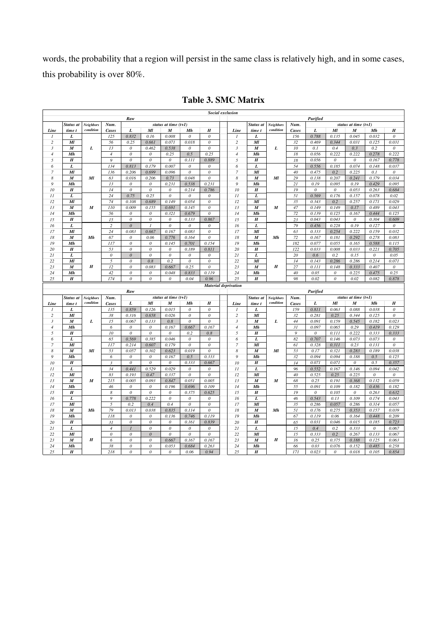words, the probability that a region will persist in the same class is relatively high, and in some cases, this probability is over 80%.

|                  | <b>Social exclusion</b>     |                  |                           |                                       |                                       |                           |                           |                           |                  |                        |                  |                 |                           |                           |                           |                           |                           |
|------------------|-----------------------------|------------------|---------------------------|---------------------------------------|---------------------------------------|---------------------------|---------------------------|---------------------------|------------------|------------------------|------------------|-----------------|---------------------------|---------------------------|---------------------------|---------------------------|---------------------------|
|                  |                             |                  |                           | Raw                                   |                                       |                           |                           |                           |                  |                        |                  |                 | Purified                  |                           |                           |                           |                           |
|                  | Status at                   | <b>Neighbors</b> | Num.                      |                                       |                                       | status at time $(t+1)$    |                           |                           |                  | Status at              | <b>Neighbors</b> | Num.            |                           |                           | status at time $(t+1)$    |                           |                           |
| Line             | time t                      | condition        | <b>Cases</b>              | L                                     | Мl                                    | M                         | Mh                        | H                         | Line             | time t                 | condition        | <b>Cases</b>    | L                         | Ml                        | M                         | Mh                        | H                         |
| $\mathcal{I}$    | L                           |                  | 125                       | 0.832                                 | 0.16                                  | 0.008                     | $\boldsymbol{\theta}$     | $\boldsymbol{\mathit{0}}$ | 1                | L                      |                  | 156             | 0.788                     | 0.135                     | 0.045                     | 0.032                     | $\boldsymbol{\mathit{0}}$ |
| $\overline{c}$   | $\boldsymbol{M}$            |                  | 56                        | 0.25                                  | 0.661                                 | 0.071                     | 0.018                     | $\boldsymbol{\mathit{0}}$ | $\overline{c}$   | $\boldsymbol{M}$       |                  | 32              | 0.469                     | 0.344                     | 0.031                     | 0.125                     | 0.031                     |
| $\overline{3}$   | M                           | L                | 13                        | $\boldsymbol{\theta}$                 | 0.462                                 | 0.538                     | $\theta$                  | $\theta$                  | $\mathfrak{Z}$   | M                      | L                | 10              | 0.1                       | 0.4                       | 0.3                       | 0.2                       | $\theta$                  |
| $\overline{4}$   | Mh                          |                  | $\sqrt{4}$                | $\boldsymbol{\mathit{0}}$             | $\boldsymbol{\theta}$                 | 0.25                      | 0.5                       | 0.25                      | $\overline{4}$   | Mh                     |                  | 18              | 0.056                     | 0.222                     | 0.222                     | 0.278                     | 0.222                     |
| 5                | $\boldsymbol{H}$            |                  | $\mathfrak{g}$            | $\theta$                              | $\theta$                              | $\boldsymbol{0}$          | 0.111                     | 0.889                     | 5                | $\boldsymbol{H}$       |                  | 18              | 0.056                     | $\boldsymbol{\theta}$     | $\theta$                  | 0.167                     | 0.778                     |
| 6                | L                           |                  | 134                       | 0.813                                 | 0.179                                 | 0.007                     | $\boldsymbol{\mathit{0}}$ | $\theta$                  | 6                | L                      |                  | 54              | 0.556                     | 0.185                     | 0.074                     | 0.148                     | 0.037                     |
| $\overline{7}$   | $\boldsymbol{M}$            |                  | 136                       | 0.206                                 | 0.699                                 | 0.096                     | $\boldsymbol{\mathit{0}}$ | $\mathcal O$              | $\overline{7}$   | $\boldsymbol{M}$       |                  | 40              | 0.475                     | 0.2                       | 0.225                     | 0.1                       | $\theta$                  |
| $\boldsymbol{8}$ | M                           | Ml               | 63                        | 0.016                                 | 0.206                                 | 0.73                      | 0.048                     | $\theta$                  | $\boldsymbol{8}$ | M                      | $\overline{M}$   | 29              | 0.138                     | 0.207                     | 0.241                     | 0.379                     | 0.034                     |
| 9                | Mh                          |                  | 13                        | $\boldsymbol{\mathit{0}}$             | $\boldsymbol{\mathit{0}}$             | 0.231                     | 0.538                     | 0.231                     | 9                | Mh                     |                  | 21              | 0.19                      | 0.095                     | 0.19                      | 0.429                     | 0.095                     |
| 10               | $\boldsymbol{H}$            |                  | 14                        | $\theta$                              | $\theta$                              | $\boldsymbol{0}$          | 0.214                     | 0.786                     | 10               | $\boldsymbol{H}$       |                  | 19              | $\theta$                  | $\boldsymbol{\theta}$     | 0.053                     | 0.263                     | 0.684                     |
| $_{II}$          | L                           |                  | 24                        | 0.75                                  | 0.25                                  | $\theta$                  | $\theta$                  | $\boldsymbol{\mathit{0}}$ | 11               | L                      |                  | $\overline{51}$ | 0.569                     | 0.176                     | 0.157                     | 0.078                     | 0.02                      |
| 12               | $\boldsymbol{M}$            |                  | 74                        | 0.108                                 | 0.689                                 | 0.149                     | 0.054                     | $\theta$                  | 12               | $\boldsymbol{M}$       |                  | 35              | 0.343                     | 0.2                       | 0.257                     | 0.171                     | 0.029                     |
| 13               | M                           | $\boldsymbol{M}$ | 110                       | 0.009                                 | 0.155                                 | 0.691                     | 0.145                     | $\boldsymbol{\mathit{0}}$ | 13               | $\boldsymbol{M}$       | $\boldsymbol{M}$ | 47              | 0.149                     | 0.149                     | 0.17                      | 0.489                     | 0.043                     |
| 14               | Mh                          |                  | 56                        | $\boldsymbol{\mathit{0}}$             | $\boldsymbol{\mathit{0}}$             | 0.321                     | 0.679                     | $\boldsymbol{\mathit{0}}$ | 14               | Mh                     |                  | 72              | 0.139                     | 0.125                     | 0.167                     | 0.444                     | 0.125                     |
| 15               | $\boldsymbol{H}$            |                  | 15                        | $\mathcal O$                          | $\boldsymbol{\mathit{0}}$             | 0                         | 0.133                     | 0.867                     | 15               | $\boldsymbol{H}$       |                  | 23              | 0.043                     | 0.043                     | $\boldsymbol{\mathit{0}}$ | 0.304                     | 0.609                     |
| 16               | L                           |                  | $\sqrt{2}$                | $\theta$                              |                                       | $\theta$                  | $\theta$                  | $\theta$                  | 16               | L                      |                  | 79              | 0.456                     | 0.228                     | 0.19                      | 0.127                     | 0                         |
| 17               | $\overline{M}$              |                  | 24                        | 0.083                                 | 0.667                                 | 0.167                     | 0.083                     | $\theta$                  | 17               | $\overline{M}$         |                  | 63              | 0.333                     | 0.254                     | 0.222                     | 0.159                     | 0.032                     |
| 18               | M                           | Mh               | 67                        |                                       | 0.06                                  |                           | 0.164                     | $\overline{o}$            | 18               | $\boldsymbol{M}$       | Mh               | $\overline{72}$ | 0.167                     | 0.181                     |                           | 0.278                     | 0.083                     |
|                  | Mh                          |                  |                           | $\boldsymbol{\mathit{0}}$             |                                       | 0.776                     |                           | 0.154                     | 19               |                        |                  |                 | 0.077                     |                           | 0.292                     |                           |                           |
| 19               |                             |                  | 117                       | $\boldsymbol{\mathit{0}}$             | $\boldsymbol{\mathit{0}}$             | 0.145                     | 0.701                     |                           |                  | Mh                     |                  | 182             |                           | 0.055                     | 0.165                     | 0.588                     | 0.115                     |
| 20               | $\boldsymbol{H}$            |                  | 53                        | $\boldsymbol{\mathit{0}}$             | $\boldsymbol{\mathit{0}}$             | $\mathcal O$              | 0.189                     | 0.811                     | 20               | $\boldsymbol{H}$       |                  | 122             | 0.033                     | 0.008                     | 0.033                     | 0.221                     | 0.705                     |
| 21               | L                           |                  | $\boldsymbol{\mathit{0}}$ | $\theta$                              | $\theta$                              | $\theta$                  | $\boldsymbol{\mathit{0}}$ | $\boldsymbol{\mathit{0}}$ | 21               | L                      |                  | 20              | 0.6                       | 0.2                       | 0.15                      | $\boldsymbol{\mathit{0}}$ | 0.05                      |
| 22               | $\boldsymbol{M}$            |                  | $\sqrt{2}$                | $\boldsymbol{\mathit{0}}$             | 0.8                                   | 0.2                       | $\boldsymbol{\mathit{0}}$ | $\boldsymbol{\mathit{0}}$ | 22               | $\boldsymbol{M}$       |                  | 14              | 0.143                     | 0.286                     | 0.286                     | 0.214                     | 0.071                     |
| 23               | M                           | $\boldsymbol{H}$ | 12                        | $\boldsymbol{\mathit{0}}$             | 0.083                                 | 0.667                     | 0.25                      | $\theta$                  | 23               | M                      | $\boldsymbol{H}$ | 27              | 0.111                     | 0.148                     | 0.333                     | 0.407                     | $\theta$                  |
| 24               | Mh                          |                  | 42                        | $\boldsymbol{\mathit{0}}$             | $\boldsymbol{\mathit{0}}$             | 0.048                     | 0.833                     | 0.119                     | 24               | Mh                     |                  | 40              | 0.05                      | $\boldsymbol{o}$          | 0.225                     | 0.475                     | 0.25                      |
| 25               | $\boldsymbol{H}$            |                  | 174                       | $\theta$                              | $\theta$                              | $\theta$                  | 0.04                      | 0.96                      | 25               | $\boldsymbol{H}$       |                  | 98              | 0.02                      | $\boldsymbol{\mathit{0}}$ | 0.02                      | 0.082                     | 0.878                     |
|                  | <b>Material deprivation</b> |                  |                           |                                       |                                       |                           |                           |                           |                  |                        |                  |                 |                           |                           |                           |                           |                           |
|                  |                             |                  |                           |                                       |                                       |                           |                           |                           |                  |                        |                  |                 |                           |                           |                           |                           |                           |
|                  |                             |                  |                           | Raw                                   |                                       |                           |                           |                           |                  |                        |                  |                 | Purified                  |                           |                           |                           |                           |
|                  | Status at                   | <b>Neighbors</b> | Num.                      |                                       |                                       | status at time $(t+1)$    |                           |                           |                  | Status at              | <b>Neighbors</b> | Num.            |                           |                           | status at time $(t+1)$    |                           |                           |
| Line             | time t                      | condition        | <b>Cases</b>              | L                                     | $\boldsymbol{M}$                      | M                         | Mh                        | $\boldsymbol{H}$          | Line             | time t                 | condition        | <b>Cases</b>    | L                         | Ml                        | M                         | Mh                        | $\boldsymbol{H}$          |
| $\overline{I}$   | L                           |                  | 135                       | 0.859                                 | 0.126                                 | 0.015                     | $\theta$                  | $\theta$                  | $\overline{I}$   | L                      |                  | 159             | 0.811                     | 0.063                     | 0.088                     | 0.038                     | $\boldsymbol{\mathit{0}}$ |
| $\overline{c}$   | $\overline{M}$              |                  | 38                        | 0.316                                 | 0.658                                 | 0.026                     | $\overline{\theta}$       | $\overline{\mathbf{0}}$   | $\overline{c}$   | $\overline{M}$         |                  | 32              | 0.281                     | 0.25                      | 0.344                     | 0.125                     | $\theta$                  |
| 3                | $\boldsymbol{M}$            | L                | 15                        | 0.067                                 | 0.133                                 | 0.8                       | $\theta$                  | $\boldsymbol{\mathit{0}}$ | $\mathfrak{Z}$   | $\boldsymbol{M}$       | L                | 44              | 0.091                     | 0.159                     | 0.545                     | 0.182                     | 0.023                     |
| $\sqrt{4}$       | Mh                          |                  | 6                         | $\theta$                              | $\boldsymbol{\mathit{0}}$             | 0.167                     | 0.667                     | 0.167                     | $\overline{4}$   | Mh                     |                  | 31              | 0.097                     | 0.065                     | 0.29                      | 0.419                     | 0.129                     |
| 5                | $\boldsymbol{H}$            |                  | 10                        | $\boldsymbol{\mathit{0}}$             | $\boldsymbol{\theta}$                 | $\boldsymbol{\mathit{0}}$ | 0.2                       | 0.8                       | 5                | $\boldsymbol{H}$       |                  | $\mathfrak{g}$  | $\boldsymbol{\mathit{0}}$ | 0.111                     | 0.222                     | 0.333                     | 0.333                     |
| 6                | L                           |                  | 65                        | 0.569                                 | 0.385                                 | 0.046                     | $\theta$                  | $\theta$                  | 6                | L                      |                  | 82              | 0.707                     | 0.146                     | 0.073                     | 0.073                     | $\boldsymbol{\mathit{0}}$ |
| $\overline{7}$   | Ml                          |                  | 117                       | 0.214                                 | 0.607                                 | 0.179                     | $\overline{\mathbf{0}}$   | $\boldsymbol{o}$          | $\overline{7}$   | Ml                     |                  | 61              | 0.328                     | 0.311                     | 0.23                      | 0.131                     | $\overline{\mathbf{0}}$   |
| 8                | M                           | Ml               | 53                        | 0.057                                 | 0.302                                 | 0.623                     | 0.019                     | $\theta$                  | 8                | $\boldsymbol{M}$       | Ml               | 53              | 0.17                      | 0.321                     | 0.283                     | 0.189                     | 0.038                     |
| $\overline{Q}$   | Mh                          |                  | 6                         | $\boldsymbol{\theta}$                 | $\theta$                              | 0.167                     | 0.5                       | 0.333                     | 9                | Mh                     |                  | 32              | 0.094                     | 0.094                     | 0.188                     | 0.5                       | 0.125                     |
| 10               | $\boldsymbol{H}$            |                  | $\mathfrak{z}$            | $\boldsymbol{\mathit{0}}$             | $\boldsymbol{\mathit{0}}$             | $\boldsymbol{o}$          | 0.333                     | 0.667                     | 10               | $\boldsymbol{H}$       |                  | 14              | 0.071                     | 0.071                     | $\boldsymbol{\mathit{0}}$ | 0.5                       | 0.357                     |
| $_{11}$          | L                           |                  | 34                        | 0.441                                 | 0.529                                 | 0.029                     | $\boldsymbol{\mathit{0}}$ | $\boldsymbol{\mathit{0}}$ | 11               | L                      |                  | 96              | 0.552                     | 0.167                     | 0.146                     | 0.094                     | 0.042                     |
|                  |                             |                  |                           |                                       |                                       |                           |                           |                           |                  |                        |                  |                 |                           |                           |                           |                           |                           |
| 12               | $\boldsymbol{M}$            |                  | 83                        | 0.193                                 | 0.47                                  | 0.337                     | $\boldsymbol{\mathit{0}}$ | $\boldsymbol{o}$          | 12               | $\boldsymbol{M}$       |                  | 40              | 0.525                     | 0.25                      | 0.225                     | $\boldsymbol{\mathit{0}}$ | $\boldsymbol{\mathit{0}}$ |
| 13               | $\boldsymbol{M}$            | $\boldsymbol{M}$ | 215                       | 0.005                                 | 0.093                                 | 0.847                     | 0.051                     | 0.005                     | 13               | $\boldsymbol{M}$       | $\boldsymbol{M}$ | 68              | 0.25                      | 0.191                     | 0.368                     | 0.132                     | 0.059                     |
| 14               | Mh                          |                  | 46                        | $\mathcal O$                          | $\boldsymbol{\theta}$                 | 0.196                     | 0.696                     | 0.109                     | 14               | Mh                     |                  | 55              | 0.091                     | 0.109                     | 0.182                     | 0.436                     | 0.182                     |
| 15               | $\boldsymbol{H}$            |                  | $\boldsymbol{8}$          | $\theta$                              | $\theta$                              | $\boldsymbol{o}$          | 0.375                     | 0.625                     | 15               | $\boldsymbol{H}$       |                  | 19              | $\theta$                  | 0.105                     | $\boldsymbol{\mathit{0}}$ | 0.263                     | 0.632                     |
| 16               | L                           |                  | $\mathfrak g$             | 0.778                                 | 0.222                                 | $\boldsymbol{\theta}$     | $\boldsymbol{\mathit{0}}$ | $\boldsymbol{\mathit{0}}$ | 16               | L                      |                  | 46              | 0.543                     | 0.13                      | 0.109                     | 0.174                     | 0.043                     |
| 17               | $\boldsymbol{M}$            |                  | $\sqrt{2}$                | 0.2                                   | 0.4                                   | 0.4                       | $\boldsymbol{\mathit{0}}$ | $\boldsymbol{\mathit{0}}$ | 17               | $\boldsymbol{M}$       |                  | 35              | 0.286                     | 0.057                     | 0.286                     | 0.314                     | 0.057                     |
| 18               | M                           | Mh               | 79                        | 0.013                                 | 0.038                                 | 0.835                     | 0.114                     | $\theta$                  | 18               | $\boldsymbol{M}$       | Mh               | 51              | 0.176                     | 0.275                     | 0.353                     | 0.157                     | 0.039                     |
| 19               | Mh                          |                  | 118                       | $\boldsymbol{\mathit{0}}$             | $\boldsymbol{\mathit{0}}$             | 0.136                     | 0.746                     | 0.119                     | 19               | Mh                     |                  | 67              | 0.119                     | 0.06                      | 0.164                     | 0.448                     | 0.209                     |
| 20               | $\boldsymbol{H}$            |                  | 31                        | $\boldsymbol{\mathit{0}}$             | $\boldsymbol{\theta}$                 | $\boldsymbol{\mathit{0}}$ | 0.161                     | 0.839                     | 20               | $\boldsymbol{H}$       |                  | 65              | 0.031                     | 0.046                     | 0.015                     | 0.185                     | 0.723                     |
| 21               | L                           |                  | $\sqrt{4}$                | $\overline{I}$                        | $\theta$                              | $\boldsymbol{\mathit{0}}$ | $\boldsymbol{\mathit{0}}$ | $\theta$                  | 21               | L                      |                  | 15              | 0.4                       | 0.2                       | 0.333                     | $\boldsymbol{\mathit{0}}$ | 0.067                     |
| 22               | $\overline{Ml}$             |                  | $\theta$                  | $\boldsymbol{\mathit{0}}$             | $\boldsymbol{\mathit{0}}$             | $\boldsymbol{\mathit{0}}$ | $\boldsymbol{\mathit{0}}$ | $\boldsymbol{\mathit{0}}$ | 22               | $\boldsymbol{M}$       |                  | 15              | 0.333                     | 0.2                       | 0.267                     | 0.133                     | 0.067                     |
| 23               | M                           | H                | 6                         | $\boldsymbol{\mathit{0}}$             | $\boldsymbol{\mathit{0}}$             | 0.667                     | 0.167                     | 0.167                     | 23               | $\boldsymbol{M}$       | H                | 16              | 0.25                      | 0.375                     | 0.188                     | 0.125                     | 0.063                     |
| 24<br>25         | Mh<br>$\boldsymbol{H}$      |                  | 38<br>218                 | $\boldsymbol{\mathit{0}}$<br>$\theta$ | $\boldsymbol{\mathit{0}}$<br>$\theta$ | 0.053<br>0                | 0.684<br>0.06             | 0.263<br>0.94             | 24<br>25         | Mh<br>$\boldsymbol{H}$ |                  | 66<br>171       | 0.03<br>0.023             | 0.076<br>$\theta$         | 0.152<br>0.018            | 0.485<br>0.105            | 0.258<br>0.854            |

**Table 3. SMC Matrix**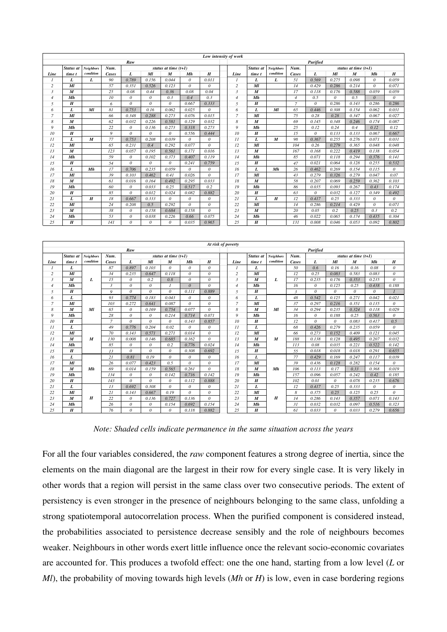|                | Low intensity of work |                  |              |                       |          |                        |          |                  |  |                |                  |                  |                |          |                 |                        |          |                  |
|----------------|-----------------------|------------------|--------------|-----------------------|----------|------------------------|----------|------------------|--|----------------|------------------|------------------|----------------|----------|-----------------|------------------------|----------|------------------|
|                | Raw                   |                  |              |                       |          |                        |          |                  |  | Purified       |                  |                  |                |          |                 |                        |          |                  |
|                | Status at             | <b>Neighbors</b> | Num.         |                       |          | status at time $(t+1)$ |          |                  |  |                | Status at        | <b>Neighbors</b> | Num.           |          |                 | status at time $(t+1)$ |          |                  |
| Line           | time t                | condition        | <b>Cases</b> | L                     | Ml       | M                      | Mh       | $\boldsymbol{H}$ |  | Line           | time t           | condition        | Cases          | L        | $\overline{Ml}$ | M                      | Mh       | $\boldsymbol{H}$ |
|                | L                     | L                | 90           | 0.789                 | 0.156    | 0.044                  | $\theta$ | 0.011            |  | $\mathcal I$   | L                | L                | 51             | 0.569    | 0.275           | 0.098                  | $\theta$ | 0.059            |
| $\overline{c}$ | $\boldsymbol{M}$      |                  | 57           | 0.351                 | 0.526    | 0.123                  | $\theta$ | $\theta$         |  | $\overline{c}$ | Ml               |                  | 14             | 0.429    | 0.286           | 0.214                  | $\theta$ | 0.071            |
| $\mathfrak{Z}$ | $\boldsymbol{M}$      |                  | 25           | 0.08                  | 0.44     | 0.36                   | 0.08     | 0.04             |  | 3              | $\boldsymbol{M}$ |                  | 17             | 0.118    | 0.176           | 0.588                  | 0.059    | 0.059            |
| $\overline{4}$ | Mh                    |                  | 10           | $\boldsymbol{\theta}$ | $\theta$ | 0.3                    | 0.4      | 0.3              |  | $\overline{4}$ | Mh               |                  | $\overline{4}$ | 0.5      | $\theta$        | 0.5                    | $\theta$ | $\theta$         |
| 5              | H                     |                  | 6            | $\theta$              | $\theta$ | $\theta$               | 0.667    | 0.333            |  | 5              | H                |                  | $\overline{7}$ | $\theta$ | 0.286           | 0.143                  | 0.286    | 0.286            |
| 6              | L                     | $\overline{M}$   | 81           | 0.753                 | 0.16     | 0.062                  | 0.025    | $\theta$         |  | 6              | L                | Ml               | 65             | 0.446    | 0.308           | 0.154                  | 0.062    | 0.031            |
| $\overline{7}$ | $\overline{M}$        |                  | 66           | 0.348                 | 0.288    | 0.273                  | 0.076    | 0.015            |  | $\overline{7}$ | MI               |                  | 75             | 0.28     | 0.28            | 0.347                  | 0.067    | 0.027            |
| 8              | M                     |                  | 62           | 0.032                 | 0.226    | 0.581                  | 0.129    | 0.032            |  | 8              | M                |                  | 69             | 0.145    | 0.348           | 0.246                  | 0.174    | 0.087            |
| $\mathfrak{g}$ | Mh                    |                  | 22           | 0                     | 0.136    | 0.273                  | 0.318    | 0.273            |  | 9              | Mh               |                  | 25             | 0.12     | 0.24            | 0.4                    | 0.12     | 0.12             |
| 10             | H                     |                  | 9            | $\boldsymbol{\theta}$ | 0        | 0                      | 0.556    | 0.444            |  | 10             | $\boldsymbol{H}$ |                  | 15             | $\theta$ | 0.133           | 0.133                  | 0.067    | 0.667            |
| $_{11}$        | L                     | M                | 77           | 0.753                 | 0.208    | 0.039                  | 0        | 0                |  | $_{11}$        | L                | $\boldsymbol{M}$ | 98             | 0.367    | 0.255           | 0.276                  | 0.071    | 0.031            |
| 12             | $\boldsymbol{M}$      |                  | 65           | 0.231                 | 0.4      | 0.292                  | 0.077    | $\theta$         |  | 12             | Ml               |                  | 104            | 0.26     | 0.279           | 0.365                  | 0.048    | 0.048            |
| 13             | M                     |                  | 123          | 0.057                 | 0.195    | 0.561                  | 0.171    | 0.016            |  | 13             | M                |                  | 167            | 0.168    | 0.222           | 0.419                  | 0.138    | 0.054            |
| 14             | Mh                    |                  | 59           | $\theta$              | 0.102    | 0.373                  | 0.407    | 0.119            |  | 14             | Mh               |                  | 85             | 0.071    | 0.118           | 0.294                  | 0.376    | 0.141            |
| 15             | H                     |                  | 54           | $\theta$              | $\theta$ | $\theta$               | 0.241    | 0.759            |  | 15             | H                |                  | 47             | 0.021    | 0.064           | 0.128                  | 0.255    | 0.532            |
| 16             | L                     | Mh               | 17           | 0.706                 | 0.235    | 0.059                  | $\theta$ | $\theta$         |  | 16             | L                | Mh               | 26             | 0.462    | 0.269           | 0.154                  | 0.115    | $\theta$         |
| 17             | $\boldsymbol{M}$      |                  | 39           | 0.103                 | 0.462    | 0.41                   | 0.026    | $\theta$         |  | 17             | Ml               |                  | 43             | 0.279    | 0.326           | 0.279                  | 0.047    | 0.07             |
| 18             | M                     |                  | 61           | 0.016                 | 0.164    | 0.492                  | 0.295    | 0.033            |  | 18             | M                |                  | 58             | 0.207    | 0.069           | 0.259                  | 0.362    | 0.103            |
| 19             | Mh                    |                  | 60           | $\theta$              | 0.033    | 0.25                   | 0.517    | 0.2              |  | 19             | Mh               |                  | 86             | 0.035    | 0.093           | 0.267                  | 0.43     | 0.174            |
| 20             | H                     |                  | 85           | $\theta$              | 0.012    | 0.024                  | 0.082    | 0.882            |  | 20             | $\boldsymbol{H}$ |                  | 63             | $\theta$ | 0.032           | 0.127                  | 0.349    | 0.492            |
| 21             | L                     | H                | 18           | 0.667                 | 0.333    | $\theta$               | $\theta$ | $\theta$         |  | 21             | L                | $\boldsymbol{H}$ | 12             | 0.417    | 0.25            | 0.333                  | $\theta$ | $\theta$         |
| 22             | $\boldsymbol{M}$      |                  | 24           | 0.208                 | 0.5      | 0.292                  | $\theta$ | $\theta$         |  | 22             | Ml               |                  | 14             | 0.286    | 0.214           | 0.429                  | $\theta$ | 0.071            |
| 23             | M                     |                  | 38           | 0                     | 0.158    | 0.684                  | 0.158    | $\theta$         |  | 23             | M                |                  | 20             | 0.05     | 0.2             | 0.25                   | 0.3      | 0.2              |
| 24             | Mh                    |                  | 53           | 0                     | 0.038    | 0.226                  | 0.66     | 0.075            |  | 24             | Mh               |                  | 46             | 0.022    | 0.065           | 0.174                  | 0.435    | 0.304            |
| 25             | H                     |                  | 141          | $\theta$              | $\theta$ | $\theta$               | 0.035    | 0.965            |  | 25             | H                |                  | 131            | 0.008    | 0.046           | 0.053                  | 0.092    | 0.802            |

|                | At risk of poverty |                  |                |          |                  |                        |          |                  |  |                 |                  |                  |               |          |                 |                        |          |                  |
|----------------|--------------------|------------------|----------------|----------|------------------|------------------------|----------|------------------|--|-----------------|------------------|------------------|---------------|----------|-----------------|------------------------|----------|------------------|
|                |                    |                  |                | Raw      |                  |                        |          |                  |  | <b>Purified</b> |                  |                  |               |          |                 |                        |          |                  |
|                | Status at          | <b>Neighbors</b> | Num.           |          |                  | status at time $(t+1)$ |          |                  |  |                 | <b>Status</b> at | <b>Neighbors</b> | Num.          |          |                 | status at time $(t+1)$ |          |                  |
| Line           | time t             | condition        | Cases          | L        | MI               | M                      | Mh       | $\boldsymbol{H}$ |  | Line            | time t           | condition        | <b>Cases</b>  | L        | $\overline{Ml}$ | M                      | Mh       | $\boldsymbol{H}$ |
|                | L                  |                  | 87             | 0.897    | 0.103            | $\theta$               | $\theta$ | $\theta$         |  | $\mathcal{I}$   | L                |                  | 50            | 0.6      | 0.16            | 0.16                   | 0.08     | $\theta$         |
| $\overline{c}$ | $\boldsymbol{M}$   |                  | 34             | 0.235    | 0.647            | 0.118                  | $\theta$ | $\theta$         |  | $\overline{c}$  | Ml               |                  | 12            | 0.25     | 0.083           | 0.583                  | 0.083    | $\theta$         |
| $\mathfrak{Z}$ | M                  | L                | 15             | $\theta$ | 0.2              | 0.8                    | $\theta$ | $\theta$         |  | 3               | M                | L                | 17            | 0.235    | 0.176           | 0.353                  | 0.235    | $\theta$         |
| $\overline{4}$ | Mh                 |                  | $\overline{3}$ | $\theta$ | $\theta$         |                        | $\theta$ | $\theta$         |  | $\overline{4}$  | Mh               |                  | 16            | $\theta$ | 0.125           | 0.25                   | 0.438    | 0.188            |
| 5              | $\boldsymbol{H}$   |                  | 9              | $\theta$ | $\theta$         | $\theta$               | 0.111    | 0.889            |  | 5               | H                |                  | $\mathcal{L}$ | $\theta$ | $\theta$        | $\theta$               | $\theta$ | $\overline{1}$   |
| 6              | L                  |                  | 93             | 0.774    | 0.183            | 0.043                  | $\theta$ | $\theta$         |  | 6               | L                |                  | 48            | 0.542    | 0.125           | 0.271                  | 0.042    | 0.021            |
| $\overline{7}$ | $\overline{M}$     |                  | 103            | 0.272    | 0.641            | 0.087                  | $\theta$ | $\theta$         |  | $\overline{7}$  | Ml               |                  | 37            | 0.297    | 0.216           | 0.351                  | 0.135    | $\theta$         |
| 8              | M                  | Ml               | 65             | $\theta$ | 0.169            | 0.754                  | 0.077    | $\theta$         |  | 8               | M                | Ml               | 34            | 0.294    | 0.235           | 0.324                  | 0.118    | 0.029            |
| 9              | Mh                 |                  | 28             | $\theta$ | $\theta$         | 0.214                  | 0.714    | 0.071            |  | 9               | Mh               |                  | 16            | $\theta$ | 0.188           | 0.25                   | 0.563    | $\theta$         |
| 10             | H                  |                  | $\overline{7}$ | $\theta$ | $\theta$         | $\theta$               | 0.143    | 0.857            |  | 10              | H                |                  | 12            | $\theta$ | $\theta$        | 0.083                  | 0.417    | 0.5              |
| $_{11}$        | L                  |                  | 49             | 0.776    | 0.204            | 0.02                   | $\theta$ | $\theta$         |  | $_{11}$         | L                |                  | 68            | 0.426    | 0.279           | 0.235                  | 0.059    | $\theta$         |
| 12             | $\boldsymbol{M}$   |                  | 70             | 0.143    | 0.571            | 0.271                  | 0.014    | $\theta$         |  | 12              | Ml               |                  | 66            | 0.273    | 0.152           | 0.409                  | 0.121    | 0.045            |
| 13             | M                  | M                | 130            | 0.008    | 0.146            | 0.685                  | 0.162    | $\theta$         |  | 13              | $\boldsymbol{M}$ | M                | 188           | 0.138    | 0.128           | 0.495                  | 0.207    | 0.032            |
| 14             | Mh                 |                  | 85             | $\theta$ | $\theta$         | 0.2                    | 0.776    | 0.024            |  | 14              | Mh               |                  | 113           | 0.08     | 0.035           | 0.221                  | 0.522    | 0.142            |
| 15             | H                  |                  | 13             | $\theta$ | $\theta$         | $\theta$               | 0.308    | 0.692            |  | 15              | H                |                  | 55            | 0.018    | 0.018           | 0.018                  | 0.291    | 0.655            |
| 16             | L                  |                  | 21             | 0.81     | 0.19             | $\boldsymbol{0}$       | $\theta$ | $\theta$         |  | 16              | L                |                  | 77            | 0.429    | 0.169           | 0.247                  | 0.117    | 0.039            |
| 17             | $\boldsymbol{M}$   |                  | 26             | 0.077    | 0.423            | 0.5                    | $\theta$ | $\theta$         |  | 17              | Ml               |                  | 39            | 0.436    | 0.128           | 0.282                  | 0.154    | $\theta$         |
| 18             | $\boldsymbol{M}$   | Mh               | 69             | 0.014    | 0.159            | 0.565                  | 0.261    | $\theta$         |  | 18              | $\boldsymbol{M}$ | Mh               | 106           | 0.113    | 0.17            | 0.33                   | 0.368    | 0.019            |
| 19             | Mh                 |                  | 134            | $\theta$ | $\theta$         | 0.142                  | 0.716    | 0.142            |  | 19              | Mh               |                  | 157           | 0.096    | 0.057           | 0.242                  | 0.42     | 0.185            |
| 20             | H                  |                  | 143            | $\theta$ | $\theta$         | $\theta$               | 0.112    | 0.888            |  | 20              | H                |                  | 102           | 0.01     | $\theta$        | 0.078                  | 0.235    | 0.676            |
| 21             | L                  |                  | 13             | 0.692    | 0.308            | $\theta$               | $\theta$ | $\theta$         |  | 21              | L                |                  | 12            | 0.417    | 0.25            | 0.333                  | $\theta$ | $\theta$         |
| 22             | $\overline{M}$     |                  | 21             | 0.143    | 0.667            | 0.19                   | $\theta$ | $\theta$         |  | 22              | MI               |                  | 8             | 0.375    | 0.25            | 0.125                  | 0.25     | $\theta$         |
| 23             | M                  | $\boldsymbol{H}$ | 22             | $\theta$ | 0.136            | 0.727                  | 0.136    | $\theta$         |  | 23              | $\boldsymbol{M}$ | $\boldsymbol{H}$ | 14            | 0.286    | 0.143           | 0.357                  | 0.071    | 0.143            |
| 24             | Mh                 |                  | 26             | $\theta$ | $\boldsymbol{0}$ | 0.154                  | 0.692    | 0.154            |  | 24              | Mh               |                  | 31            | 0.032    | 0.032           | 0.097                  | 0.516    | 0.323            |
| 25             | H                  |                  | 76             | $\theta$ | $\theta$         | $\theta$               | 0.118    | 0.882            |  | 25              | H                |                  | 61            | 0.033    | $\theta$        | 0.033                  | 0.279    | 0.656            |

*Note: Shaded cells indicate permanence in the same situation across the years* 

For all the four variables considered, the *raw* component features a strong degree of inertia, since the elements on the main diagonal are the largest in their row for every single case. It is very likely in other words that a region will persist in the same class over two consecutive periods. The extent of persistency is even stronger in the presence of neighbours belonging to the same class, unfolding a strong spatiotemporal autocorrelation process. When the purified component is considered instead, the probabilities associated to persistence decrease sensibly and the role of neighbours becomes weaker. Neighbours in other words exert little influence once the relevant socio-economic covariates are accounted for. This produces a twofold effect: one the one hand, starting from a low level (*L* or *Ml*), the probability of moving towards high levels (*Mh* or *H*) is low, even in case bordering regions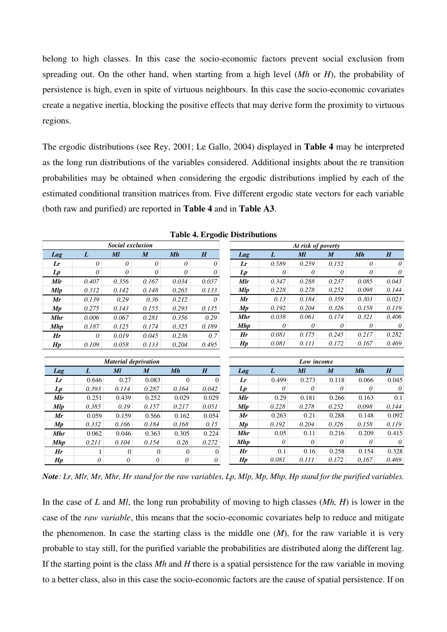belong to high classes. In this case the socio-economic factors prevent social exclusion from spreading out. On the other hand, when starting from a high level (*Mh* or *H*), the probability of persistence is high, even in spite of virtuous neighbours. In this case the socio-economic covariates create a negative inertia, blocking the positive effects that may derive form the proximity to virtuous regions.

The ergodic distributions (see Rey, 2001; Le Gallo, 2004) displayed in **Table 4** may be interpreted as the long run distributions of the variables considered. Additional insights about the re transition probabilities may be obtained when considering the ergodic distributions implied by each of the estimated conditional transition matrices from. Five different ergodic state vectors for each variable (both raw and purified) are reported in **Table 4** and in **Table A3**.

|                |          | social exclusion            |                  |                |          | At risk of poverty |          |                  |                  |          |          |  |  |
|----------------|----------|-----------------------------|------------------|----------------|----------|--------------------|----------|------------------|------------------|----------|----------|--|--|
| Lag            | L        | $\overline{M}l$             | $\boldsymbol{M}$ | Mh             | H        | Lag                | L        | $\overline{M}$   | $\boldsymbol{M}$ | Mh       | H        |  |  |
| Lr             | $\theta$ | $\theta$                    | $\theta$         | $\theta$       | $\theta$ | Lr                 | 0.589    | 0.259            | 0.152            | $\theta$ | $\theta$ |  |  |
| $L_p$          | $\theta$ | $\theta$                    | $\theta$         | $\theta$       | 0        | Lp                 | 0        | 0                | 0                | 0        | $\theta$ |  |  |
| Mlr            | 0.407    | 0.356                       | 0.167            | 0.034          | 0.037    | Mlr                | 0.347    | 0.288            | 0.237            | 0.085    | 0.043    |  |  |
| <b>Mlp</b>     | 0.312    | 0.142                       | 0.148            | 0.265          | 0.133    | <b>Mlp</b>         | 0.228    | 0.278            | 0.252            | 0.098    | 0.144    |  |  |
| Mr             | 0.139    | 0.29                        | 0.36             | 0.212          | 0        | Mr                 | 0.13     | 0.184            | 0.359            | 0.303    | 0.023    |  |  |
| Mp             | 0.275    | 0.143                       | 0.155            | 0.293          | 0.135    | Mp                 | 0.192    | 0.204            | 0.326            | 0.158    | 0.119    |  |  |
| <b>Mhr</b>     | 0.006    | 0.067                       | 0.281            | 0.356          | 0.29     | <b>Mhr</b>         | 0.038    | 0.061            | 0.174            | 0.321    | 0.406    |  |  |
| <b>Mhp</b>     | 0.187    | 0.125                       | 0.174            | 0.325          | 0.189    | <b>Mhp</b>         | 0        | 0                | 0                | 0        | $\theta$ |  |  |
| Hr             | $\theta$ | 0.019                       | 0.045            | 0.236          | 0.7      | Hr                 | 0.081    | 0.175            | 0.245            | 0.217    | 0.282    |  |  |
| H p            | 0.109    | 0.058                       | 0.133            | 0.204          | 0.495    | H p                | 0.081    | 0.111            | 0.172            | 0.167    | 0.469    |  |  |
|                |          |                             |                  |                |          |                    |          |                  |                  |          |          |  |  |
|                |          | <b>Material deprivation</b> |                  |                |          | Low income         |          |                  |                  |          |          |  |  |
| Lag            | L        | Ml                          | $\boldsymbol{M}$ | Mh             | H        | Lag                | L        | $\boldsymbol{M}$ | $\boldsymbol{M}$ | Mh       | H        |  |  |
| Lr             | 0.646    | 0.27                        | 0.083            | $\overline{0}$ | $\Omega$ | Lr                 | 0.499    | 0.273            | 0.118            | 0.066    | 0.045    |  |  |
| $\mathcal{L}p$ | 0.393    | 0.114                       | 0.287            | 0.164          | 0.042    | $\mathcal{L}p$     | $\theta$ | $\theta$         | 0                | 0        | $\theta$ |  |  |
| <b>Mlr</b>     | 0.251    | 0.439                       | 0.252            | 0.029          | 0.029    | <b>M</b> <i>lr</i> | 0.29     | 0.181            | 0.266            | 0.163    | 0.1      |  |  |
| Mlp            | 0.385    | 0.19                        | 0.157            | 0.217          | 0.051    | <b>Mlp</b>         | 0.228    | 0.278            | 0.252            | 0.098    | 0.144    |  |  |
| Mr             | 0.059    | 0.159                       | 0.566            | 0.162          | 0.054    | Mr                 | 0.263    | 0.21             | 0.288            | 0.148    | 0.092    |  |  |
|                |          |                             |                  |                |          |                    |          |                  |                  |          |          |  |  |
| Mp             | 0.332    | 0.166                       | 0.184            | 0.168          | 0.15     | Mp                 | 0.192    | 0.204            | 0.326            | 0.158    | 0.119    |  |  |
| <b>Mhr</b>     | 0.062    | 0.046                       | 0.363            | 0.305          | 0.224    | <b>Mhr</b>         | 0.05     | 0.11             | 0.216            | 0.209    | 0.415    |  |  |
| <b>Mhp</b>     | 0.211    | 0.104                       | 0.154            | 0.26           | 0.272    | <b>Mhp</b>         | $\theta$ | $\theta$         | 0                | 0        | $\theta$ |  |  |
| Hr             | 1        | $\vert 0 \vert$             | $\vert 0 \vert$  | $\overline{0}$ | $\theta$ | Hr                 | 0.1      | 0.16             | 0.258            | 0.154    | 0.328    |  |  |

**Table 4. Ergodic Distributions** 

*At risk of poverty*

*Social exclusion*

*Note: Lr, Mlr, Mr, Mhr, Hr stand for the raw variables, Lp, Mlp, Mp, Mhp, Hp stand for the purified variables.* 

In the case of *L* and *Ml*, the long run probability of moving to high classes (*Mh, H*) is lower in the case of the *raw variable*, this means that the socio-economic covariates help to reduce and mitigate the phenomenon. In case the starting class is the middle one (*M*), for the raw variable it is very probable to stay still, for the purified variable the probabilities are distributed along the different lag. If the starting point is the class *Mh* and *H* there is a spatial persistence for the raw variable in moving to a better class, also in this case the socio-economic factors are the cause of spatial persistence. If on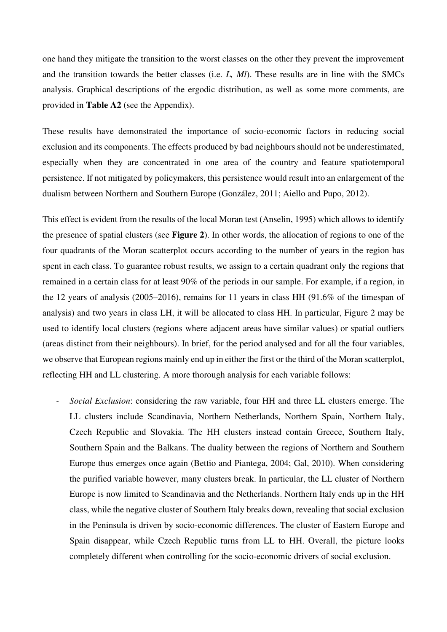one hand they mitigate the transition to the worst classes on the other they prevent the improvement and the transition towards the better classes (i.e*. L, Ml*). These results are in line with the SMCs analysis. Graphical descriptions of the ergodic distribution, as well as some more comments, are provided in **Table A2** (see the Appendix).

These results have demonstrated the importance of socio-economic factors in reducing social exclusion and its components. The effects produced by bad neighbours should not be underestimated, especially when they are concentrated in one area of the country and feature spatiotemporal persistence. If not mitigated by policymakers, this persistence would result into an enlargement of the dualism between Northern and Southern Europe (González, 2011; Aiello and Pupo, 2012).

This effect is evident from the results of the local Moran test (Anselin, 1995) which allows to identify the presence of spatial clusters (see **Figure 2**). In other words, the allocation of regions to one of the four quadrants of the Moran scatterplot occurs according to the number of years in the region has spent in each class. To guarantee robust results, we assign to a certain quadrant only the regions that remained in a certain class for at least 90% of the periods in our sample. For example, if a region, in the 12 years of analysis (2005–2016), remains for 11 years in class HH (91.6% of the timespan of analysis) and two years in class LH, it will be allocated to class HH. In particular, Figure 2 may be used to identify local clusters (regions where adjacent areas have similar values) or spatial outliers (areas distinct from their neighbours). In brief, for the period analysed and for all the four variables, we observe that European regions mainly end up in either the first or the third of the Moran scatterplot, reflecting HH and LL clustering. A more thorough analysis for each variable follows:

*- Social Exclusion*: considering the raw variable, four HH and three LL clusters emerge. The LL clusters include Scandinavia, Northern Netherlands, Northern Spain, Northern Italy, Czech Republic and Slovakia. The HH clusters instead contain Greece, Southern Italy, Southern Spain and the Balkans. The duality between the regions of Northern and Southern Europe thus emerges once again (Bettio and Piantega, 2004; Gal, 2010). When considering the purified variable however, many clusters break. In particular, the LL cluster of Northern Europe is now limited to Scandinavia and the Netherlands. Northern Italy ends up in the HH class, while the negative cluster of Southern Italy breaks down, revealing that social exclusion in the Peninsula is driven by socio-economic differences. The cluster of Eastern Europe and Spain disappear, while Czech Republic turns from LL to HH. Overall, the picture looks completely different when controlling for the socio-economic drivers of social exclusion.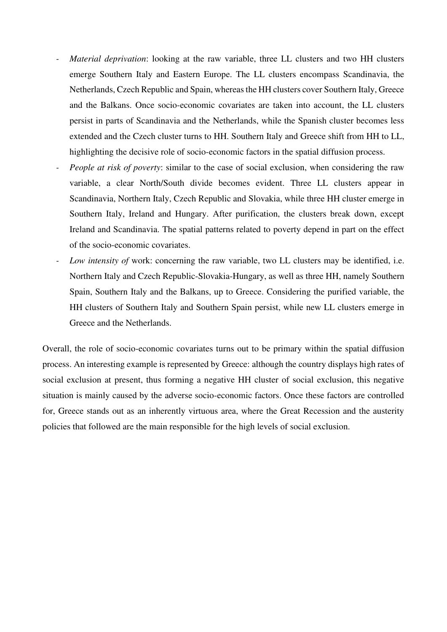- *Material deprivation*: looking at the raw variable, three LL clusters and two HH clusters emerge Southern Italy and Eastern Europe. The LL clusters encompass Scandinavia, the Netherlands, Czech Republic and Spain, whereas the HH clusters cover Southern Italy, Greece and the Balkans. Once socio-economic covariates are taken into account, the LL clusters persist in parts of Scandinavia and the Netherlands, while the Spanish cluster becomes less extended and the Czech cluster turns to HH. Southern Italy and Greece shift from HH to LL, highlighting the decisive role of socio-economic factors in the spatial diffusion process.
- *People at risk of poverty:* similar to the case of social exclusion, when considering the raw variable, a clear North/South divide becomes evident. Three LL clusters appear in Scandinavia, Northern Italy, Czech Republic and Slovakia, while three HH cluster emerge in Southern Italy, Ireland and Hungary. After purification, the clusters break down, except Ireland and Scandinavia. The spatial patterns related to poverty depend in part on the effect of the socio-economic covariates.
- *Low intensity of work: concerning the raw variable, two LL clusters may be identified, i.e.* Northern Italy and Czech Republic-Slovakia-Hungary, as well as three HH, namely Southern Spain, Southern Italy and the Balkans, up to Greece. Considering the purified variable, the HH clusters of Southern Italy and Southern Spain persist, while new LL clusters emerge in Greece and the Netherlands.

Overall, the role of socio-economic covariates turns out to be primary within the spatial diffusion process. An interesting example is represented by Greece: although the country displays high rates of social exclusion at present, thus forming a negative HH cluster of social exclusion, this negative situation is mainly caused by the adverse socio-economic factors. Once these factors are controlled for, Greece stands out as an inherently virtuous area, where the Great Recession and the austerity policies that followed are the main responsible for the high levels of social exclusion.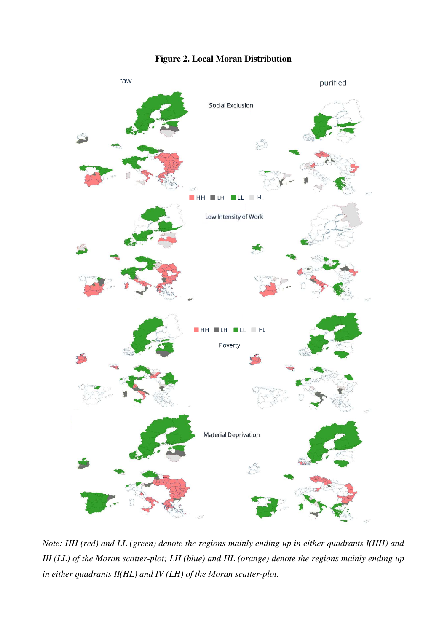# **Figure 2. Local Moran Distribution**



*Note: HH (red) and LL (green) denote the regions mainly ending up in either quadrants I(HH) and III (LL) of the Moran scatter-plot; LH (blue) and HL (orange) denote the regions mainly ending up in either quadrants II(HL) and IV (LH) of the Moran scatter-plot.*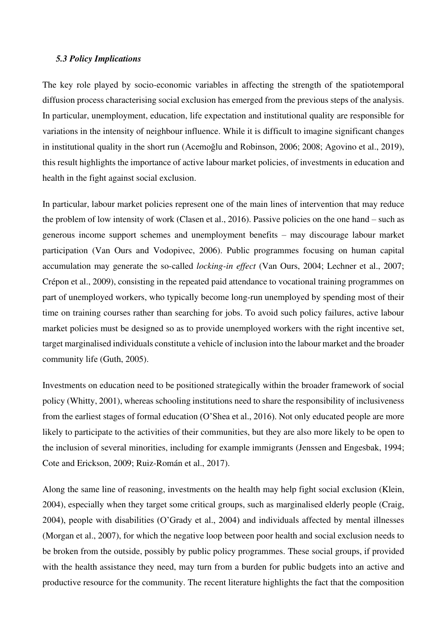#### *5.3 Policy Implications*

The key role played by socio-economic variables in affecting the strength of the spatiotemporal diffusion process characterising social exclusion has emerged from the previous steps of the analysis. In particular, unemployment, education, life expectation and institutional quality are responsible for variations in the intensity of neighbour influence. While it is difficult to imagine significant changes in institutional quality in the short run (Acemoğlu and Robinson, 2006; 2008; Agovino et al., 2019), this result highlights the importance of active labour market policies, of investments in education and health in the fight against social exclusion.

In particular, labour market policies represent one of the main lines of intervention that may reduce the problem of low intensity of work (Clasen et al., 2016). Passive policies on the one hand – such as generous income support schemes and unemployment benefits – may discourage labour market participation (Van Ours and Vodopivec, 2006). Public programmes focusing on human capital accumulation may generate the so-called *locking-in effect* (Van Ours, 2004; Lechner et al., 2007; Crépon et al., 2009), consisting in the repeated paid attendance to vocational training programmes on part of unemployed workers, who typically become long-run unemployed by spending most of their time on training courses rather than searching for jobs. To avoid such policy failures, active labour market policies must be designed so as to provide unemployed workers with the right incentive set, target marginalised individuals constitute a vehicle of inclusion into the labour market and the broader community life (Guth, 2005).

Investments on education need to be positioned strategically within the broader framework of social policy (Whitty, 2001), whereas schooling institutions need to share the responsibility of inclusiveness from the earliest stages of formal education (O'Shea et al., 2016). Not only educated people are more likely to participate to the activities of their communities, but they are also more likely to be open to the inclusion of several minorities, including for example immigrants (Jenssen and Engesbak, 1994; Cote and Erickson, 2009; Ruiz-Román et al., 2017).

Along the same line of reasoning, investments on the health may help fight social exclusion (Klein, 2004), especially when they target some critical groups, such as marginalised elderly people (Craig, 2004), people with disabilities (O'Grady et al., 2004) and individuals affected by mental illnesses (Morgan et al., 2007), for which the negative loop between poor health and social exclusion needs to be broken from the outside, possibly by public policy programmes. These social groups, if provided with the health assistance they need, may turn from a burden for public budgets into an active and productive resource for the community. The recent literature highlights the fact that the composition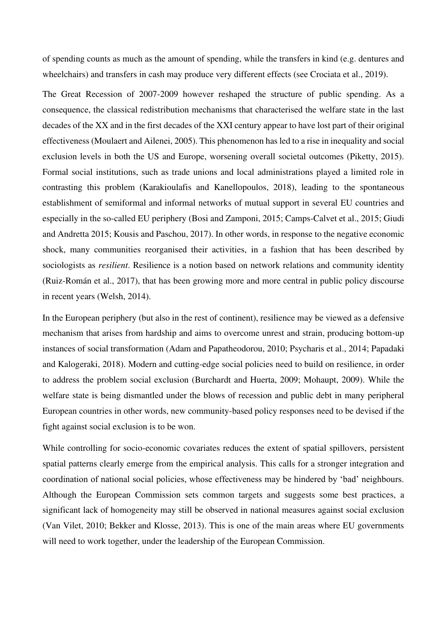of spending counts as much as the amount of spending, while the transfers in kind (e.g. dentures and wheelchairs) and transfers in cash may produce very different effects (see Crociata et al., 2019).

The Great Recession of 2007-2009 however reshaped the structure of public spending. As a consequence, the classical redistribution mechanisms that characterised the welfare state in the last decades of the XX and in the first decades of the XXI century appear to have lost part of their original effectiveness (Moulaert and Ailenei, 2005). This phenomenon has led to a rise in inequality and social exclusion levels in both the US and Europe, worsening overall societal outcomes (Piketty, 2015). Formal social institutions, such as trade unions and local administrations played a limited role in contrasting this problem (Karakioulafis and Kanellopoulos, 2018), leading to the spontaneous establishment of semiformal and informal networks of mutual support in several EU countries and especially in the so-called EU periphery (Bosi and Zamponi, 2015; Camps-Calvet et al., 2015; Giudi and Andretta 2015; Kousis and Paschou, 2017). In other words, in response to the negative economic shock, many communities reorganised their activities, in a fashion that has been described by sociologists as *resilient*. Resilience is a notion based on network relations and community identity (Ruiz-Román et al., 2017), that has been growing more and more central in public policy discourse in recent years (Welsh, 2014).

In the European periphery (but also in the rest of continent), resilience may be viewed as a defensive mechanism that arises from hardship and aims to overcome unrest and strain, producing bottom-up instances of social transformation (Adam and Papatheodorou, 2010; Psycharis et al., 2014; Papadaki and Kalogeraki, 2018). Modern and cutting-edge social policies need to build on resilience, in order to address the problem social exclusion (Burchardt and Huerta, 2009; Mohaupt, 2009). While the welfare state is being dismantled under the blows of recession and public debt in many peripheral European countries in other words, new community-based policy responses need to be devised if the fight against social exclusion is to be won.

While controlling for socio-economic covariates reduces the extent of spatial spillovers, persistent spatial patterns clearly emerge from the empirical analysis. This calls for a stronger integration and coordination of national social policies, whose effectiveness may be hindered by 'bad' neighbours. Although the European Commission sets common targets and suggests some best practices, a significant lack of homogeneity may still be observed in national measures against social exclusion (Van Vilet, 2010; Bekker and Klosse, 2013). This is one of the main areas where EU governments will need to work together, under the leadership of the European Commission.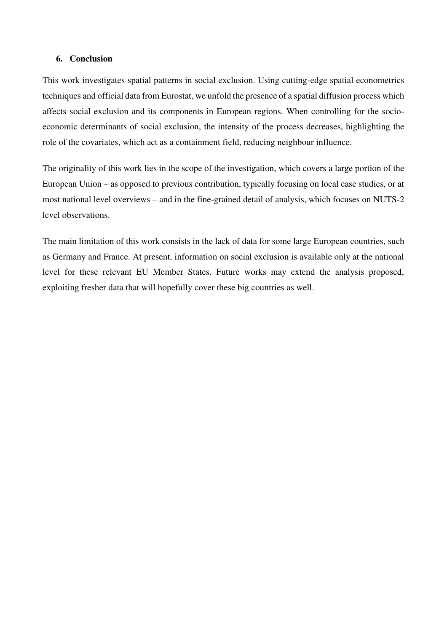## **6. Conclusion**

This work investigates spatial patterns in social exclusion. Using cutting-edge spatial econometrics techniques and official data from Eurostat, we unfold the presence of a spatial diffusion process which affects social exclusion and its components in European regions. When controlling for the socioeconomic determinants of social exclusion, the intensity of the process decreases, highlighting the role of the covariates, which act as a containment field, reducing neighbour influence.

The originality of this work lies in the scope of the investigation, which covers a large portion of the European Union – as opposed to previous contribution, typically focusing on local case studies, or at most national level overviews – and in the fine-grained detail of analysis, which focuses on NUTS-2 level observations.

The main limitation of this work consists in the lack of data for some large European countries, such as Germany and France. At present, information on social exclusion is available only at the national level for these relevant EU Member States. Future works may extend the analysis proposed, exploiting fresher data that will hopefully cover these big countries as well.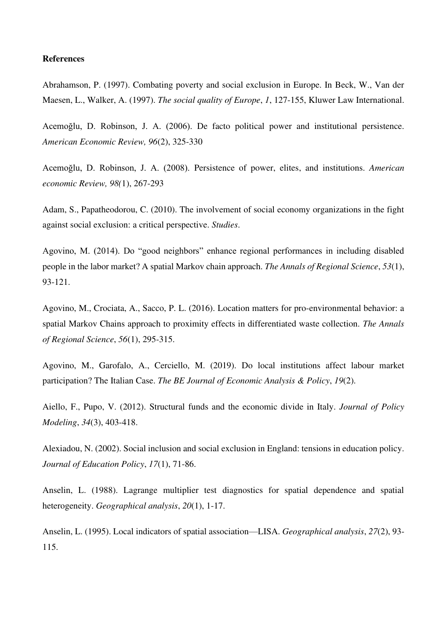#### **References**

Abrahamson, P. (1997). Combating poverty and social exclusion in Europe. In Beck, W., Van der Maesen, L., Walker, A. (1997). *The social quality of Europe*, *1*, 127-155, Kluwer Law International.

Acemoğlu, D. Robinson, J. A. (2006). De facto political power and institutional persistence. *American Economic Review, 96*(2), 325-330

Acemoğlu, D. Robinson, J. A. (2008). Persistence of power, elites, and institutions. *American economic Review, 98(*1), 267-293

Adam, S., Papatheodorou, C. (2010). The involvement of social economy organizations in the fight against social exclusion: a critical perspective. *Studies*.

Agovino, M. (2014). Do "good neighbors" enhance regional performances in including disabled people in the labor market? A spatial Markov chain approach. *The Annals of Regional Science*, *53*(1), 93-121.

Agovino, M., Crociata, A., Sacco, P. L. (2016). Location matters for pro-environmental behavior: a spatial Markov Chains approach to proximity effects in differentiated waste collection. *The Annals of Regional Science*, *56*(1), 295-315.

Agovino, M., Garofalo, A., Cerciello, M. (2019). Do local institutions affect labour market participation? The Italian Case. *The BE Journal of Economic Analysis & Policy*, *19*(2).

Aiello, F., Pupo, V. (2012). Structural funds and the economic divide in Italy. *Journal of Policy Modeling*, *34*(3), 403-418.

Alexiadou, N. (2002). Social inclusion and social exclusion in England: tensions in education policy. *Journal of Education Policy*, *17*(1), 71-86.

Anselin, L. (1988). Lagrange multiplier test diagnostics for spatial dependence and spatial heterogeneity. *Geographical analysis*, *20*(1), 1-17.

Anselin, L. (1995). Local indicators of spatial association—LISA. *Geographical analysis*, *27*(2), 93- 115.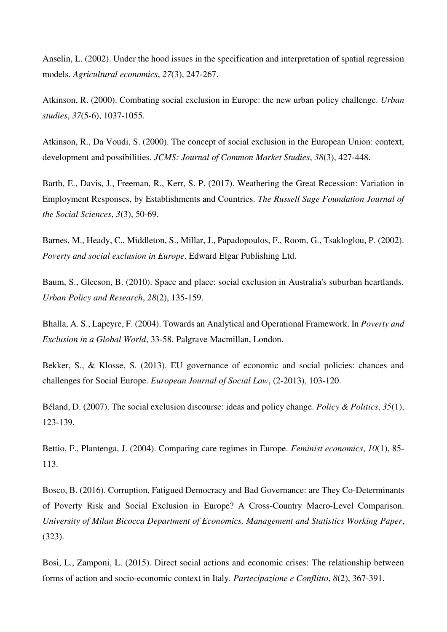Anselin, L. (2002). Under the hood issues in the specification and interpretation of spatial regression models. *Agricultural economics*, *27*(3), 247-267.

Atkinson, R. (2000). Combating social exclusion in Europe: the new urban policy challenge. *Urban studies*, *37*(5-6), 1037-1055.

Atkinson, R., Da Voudi, S. (2000). The concept of social exclusion in the European Union: context, development and possibilities. *JCMS: Journal of Common Market Studies*, *38*(3), 427-448.

Barth, E., Davis, J., Freeman, R., Kerr, S. P. (2017). Weathering the Great Recession: Variation in Employment Responses, by Establishments and Countries. *The Russell Sage Foundation Journal of the Social Sciences*, *3*(3), 50-69.

Barnes, M., Heady, C., Middleton, S., Millar, J., Papadopoulos, F., Room, G., Tsakloglou, P. (2002). *Poverty and social exclusion in Europe*. Edward Elgar Publishing Ltd.

Baum, S., Gleeson, B. (2010). Space and place: social exclusion in Australia's suburban heartlands. *Urban Policy and Research*, *28*(2), 135-159.

Bhalla, A. S., Lapeyre, F. (2004). Towards an Analytical and Operational Framework. In *Poverty and Exclusion in a Global World*, 33-58. Palgrave Macmillan, London.

Bekker, S., & Klosse, S. (2013). EU governance of economic and social policies: chances and challenges for Social Europe. *European Journal of Social Law*, (2-2013), 103-120.

Béland, D. (2007). The social exclusion discourse: ideas and policy change. *Policy & Politics*, *35*(1), 123-139.

Bettio, F., Plantenga, J. (2004). Comparing care regimes in Europe. *Feminist economics*, *10*(1), 85- 113.

Bosco, B. (2016). Corruption, Fatigued Democracy and Bad Governance: are They Co-Determinants of Poverty Risk and Social Exclusion in Europe? A Cross-Country Macro-Level Comparison. *University of Milan Bicocca Department of Economics, Management and Statistics Working Paper*, (323).

Bosi, L., Zamponi, L. (2015). Direct social actions and economic crises: The relationship between forms of action and socio-economic context in Italy. *Partecipazione e Conflitto*, *8*(2), 367-391.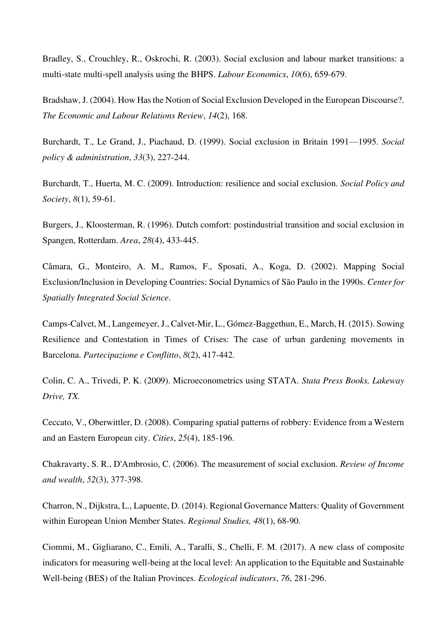Bradley, S., Crouchley, R., Oskrochi, R. (2003). Social exclusion and labour market transitions: a multi-state multi-spell analysis using the BHPS. *Labour Economics*, *10*(6), 659-679.

Bradshaw, J. (2004). How Has the Notion of Social Exclusion Developed in the European Discourse?. *The Economic and Labour Relations Review*, *14*(2), 168.

Burchardt, T., Le Grand, J., Piachaud, D. (1999). Social exclusion in Britain 1991—1995. *Social policy & administration*, *33*(3), 227-244.

Burchardt, T., Huerta, M. C. (2009). Introduction: resilience and social exclusion. *Social Policy and Society*, *8*(1), 59-61.

Burgers, J., Kloosterman, R. (1996). Dutch comfort: postindustrial transition and social exclusion in Spangen, Rotterdam. *Area*, *28*(4), 433-445.

Câmara, G., Monteiro, A. M., Ramos, F., Sposati, A., Koga, D. (2002). Mapping Social Exclusion/Inclusion in Developing Countries: Social Dynamics of São Paulo in the 1990s. *Center for Spatially Integrated Social Science*.

Camps-Calvet, M., Langemeyer, J., Calvet-Mir, L., Gómez-Baggethun, E., March, H. (2015). Sowing Resilience and Contestation in Times of Crises: The case of urban gardening movements in Barcelona. *Partecipazione e Conflitto*, *8*(2), 417-442.

Colin, C. A., Trivedi, P. K. (2009). Microeconometrics using STATA. *Stata Press Books, Lakeway Drive, TX.*

Ceccato, V., Oberwittler, D. (2008). Comparing spatial patterns of robbery: Evidence from a Western and an Eastern European city. *Cities*, *25*(4), 185-196.

Chakravarty, S. R., D'Ambrosio, C. (2006). The measurement of social exclusion. *Review of Income and wealth*, *52*(3), 377-398.

Charron, N., Dijkstra, L., Lapuente, D. (2014). Regional Governance Matters: Quality of Government within European Union Member States. *Regional Studies, 48*(1), 68-90.

Ciommi, M., Gigliarano, C., Emili, A., Taralli, S., Chelli, F. M. (2017). A new class of composite indicators for measuring well-being at the local level: An application to the Equitable and Sustainable Well-being (BES) of the Italian Provinces. *Ecological indicators*, *76*, 281-296.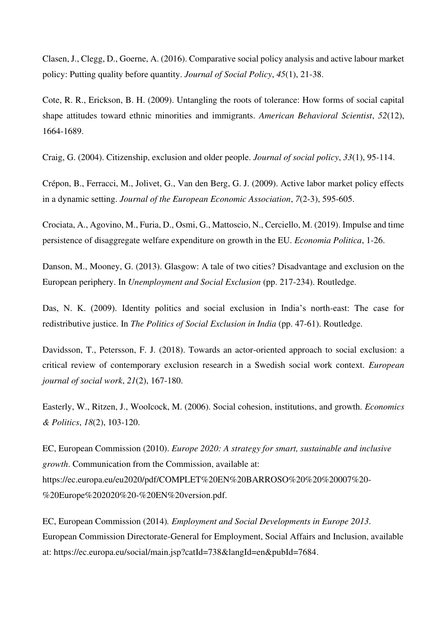Clasen, J., Clegg, D., Goerne, A. (2016). Comparative social policy analysis and active labour market policy: Putting quality before quantity. *Journal of Social Policy*, *45*(1), 21-38.

Cote, R. R., Erickson, B. H. (2009). Untangling the roots of tolerance: How forms of social capital shape attitudes toward ethnic minorities and immigrants. *American Behavioral Scientist*, *52*(12), 1664-1689.

Craig, G. (2004). Citizenship, exclusion and older people. *Journal of social policy*, *33*(1), 95-114.

Crépon, B., Ferracci, M., Jolivet, G., Van den Berg, G. J. (2009). Active labor market policy effects in a dynamic setting. *Journal of the European Economic Association*, *7*(2-3), 595-605.

Crociata, A., Agovino, M., Furia, D., Osmi, G., Mattoscio, N., Cerciello, M. (2019). Impulse and time persistence of disaggregate welfare expenditure on growth in the EU. *Economia Politica*, 1-26.

Danson, M., Mooney, G. (2013). Glasgow: A tale of two cities? Disadvantage and exclusion on the European periphery. In *Unemployment and Social Exclusion* (pp. 217-234). Routledge.

Das, N. K. (2009). Identity politics and social exclusion in India's north-east: The case for redistributive justice. In *The Politics of Social Exclusion in India* (pp. 47-61). Routledge.

Davidsson, T., Petersson, F. J. (2018). Towards an actor-oriented approach to social exclusion: a critical review of contemporary exclusion research in a Swedish social work context. *European journal of social work*, *21*(2), 167-180.

Easterly, W., Ritzen, J., Woolcock, M. (2006). Social cohesion, institutions, and growth. *Economics & Politics*, *18*(2), 103-120.

EC, European Commission (2010). *Europe 2020: A strategy for smart, sustainable and inclusive growth*. Communication from the Commission, available at: https://ec.europa.eu/eu2020/pdf/COMPLET%20EN%20BARROSO%20%20%20007%20- %20Europe%202020%20-%20EN%20version.pdf.

EC, European Commission (2014)*. Employment and Social Developments in Europe 2013*. European Commission Directorate-General for Employment, Social Affairs and Inclusion, available at: https://ec.europa.eu/social/main.jsp?catId=738&langId=en&pubId=7684.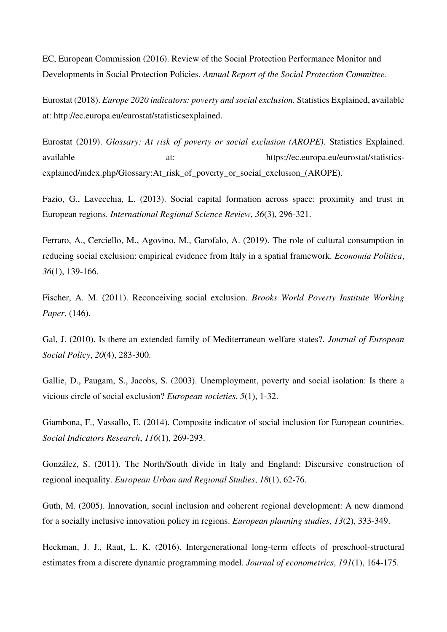EC, European Commission (2016). Review of the Social Protection Performance Monitor and Developments in Social Protection Policies. *Annual Report of the Social Protection Committee*.

Eurostat (2018). *Europe 2020 indicators: poverty and social exclusion.* Statistics Explained, available at: http://ec.europa.eu/eurostat/statisticsexplained.

Eurostat (2019). *Glossary: At risk of poverty or social exclusion (AROPE).* Statistics Explained. available at: https://ec.europa.eu/eurostat/statisticsexplained/index.php/Glossary:At\_risk\_of\_poverty\_or\_social\_exclusion\_(AROPE).

Fazio, G., Lavecchia, L. (2013). Social capital formation across space: proximity and trust in European regions. *International Regional Science Review*, *36*(3), 296-321.

Ferraro, A., Cerciello, M., Agovino, M., Garofalo, A. (2019). The role of cultural consumption in reducing social exclusion: empirical evidence from Italy in a spatial framework. *Economia Politica*, *36*(1), 139-166.

Fischer, A. M. (2011). Reconceiving social exclusion. *Brooks World Poverty Institute Working Paper*, (146).

Gal, J. (2010). Is there an extended family of Mediterranean welfare states?. *Journal of European Social Policy*, *20*(4), 283-300.

Gallie, D., Paugam, S., Jacobs, S. (2003). Unemployment, poverty and social isolation: Is there a vicious circle of social exclusion? *European societies*, *5*(1), 1-32.

Giambona, F., Vassallo, E. (2014). Composite indicator of social inclusion for European countries. *Social Indicators Research*, *116*(1), 269-293.

González, S. (2011). The North/South divide in Italy and England: Discursive construction of regional inequality. *European Urban and Regional Studies*, *18*(1), 62-76.

Guth, M. (2005). Innovation, social inclusion and coherent regional development: A new diamond for a socially inclusive innovation policy in regions. *European planning studies*, *13*(2), 333-349.

Heckman, J. J., Raut, L. K. (2016). Intergenerational long-term effects of preschool-structural estimates from a discrete dynamic programming model. *Journal of econometrics*, *191*(1), 164-175.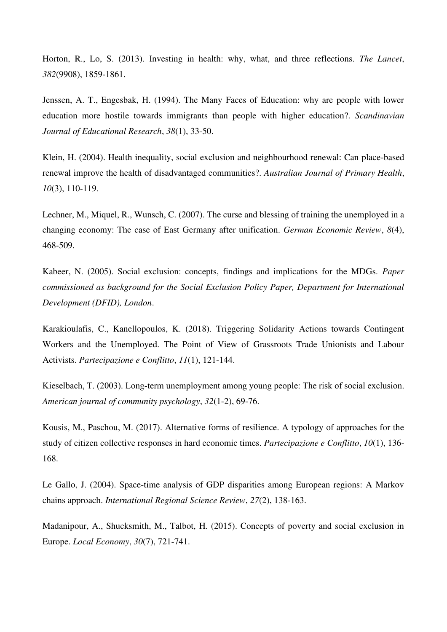Horton, R., Lo, S. (2013). Investing in health: why, what, and three reflections. *The Lancet*, *382*(9908), 1859-1861.

Jenssen, A. T., Engesbak, H. (1994). The Many Faces of Education: why are people with lower education more hostile towards immigrants than people with higher education?. *Scandinavian Journal of Educational Research*, *38*(1), 33-50.

Klein, H. (2004). Health inequality, social exclusion and neighbourhood renewal: Can place-based renewal improve the health of disadvantaged communities?. *Australian Journal of Primary Health*, *10*(3), 110-119.

Lechner, M., Miquel, R., Wunsch, C. (2007). The curse and blessing of training the unemployed in a changing economy: The case of East Germany after unification. *German Economic Review*, *8*(4), 468-509.

Kabeer, N. (2005). Social exclusion: concepts, findings and implications for the MDGs. *Paper commissioned as background for the Social Exclusion Policy Paper, Department for International Development (DFID), London*.

Karakioulafis, C., Kanellopoulos, K. (2018). Triggering Solidarity Actions towards Contingent Workers and the Unemployed. The Point of View of Grassroots Trade Unionists and Labour Activists. *Partecipazione e Conflitto*, *11*(1), 121-144.

Kieselbach, T. (2003). Long-term unemployment among young people: The risk of social exclusion. *American journal of community psychology*, *32*(1-2), 69-76.

Kousis, M., Paschou, M. (2017). Alternative forms of resilience. A typology of approaches for the study of citizen collective responses in hard economic times. *Partecipazione e Conflitto*, *10*(1), 136- 168.

Le Gallo, J. (2004). Space-time analysis of GDP disparities among European regions: A Markov chains approach. *International Regional Science Review*, *27*(2), 138-163.

Madanipour, A., Shucksmith, M., Talbot, H. (2015). Concepts of poverty and social exclusion in Europe. *Local Economy*, *30*(7), 721-741.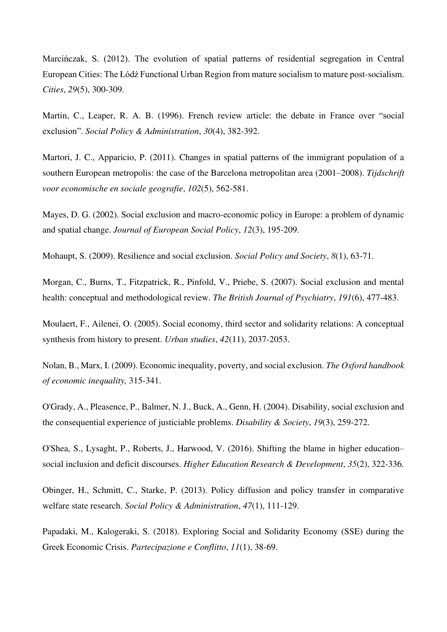Marcińczak, S. (2012). The evolution of spatial patterns of residential segregation in Central European Cities: The Łódź Functional Urban Region from mature socialism to mature post-socialism. *Cities*, *29*(5), 300-309.

Martin, C., Leaper, R. A. B. (1996). French review article: the debate in France over "social exclusion". *Social Policy & Administration*, *30*(4), 382-392.

Martori, J. C., Apparicio, P. (2011). Changes in spatial patterns of the immigrant population of a southern European metropolis: the case of the Barcelona metropolitan area (2001–2008). *Tijdschrift voor economische en sociale geografie*, *102*(5), 562-581.

Mayes, D. G. (2002). Social exclusion and macro-economic policy in Europe: a problem of dynamic and spatial change. *Journal of European Social Policy*, *12*(3), 195-209.

Mohaupt, S. (2009). Resilience and social exclusion. *Social Policy and Society*, *8*(1), 63-71.

Morgan, C., Burns, T., Fitzpatrick, R., Pinfold, V., Priebe, S. (2007). Social exclusion and mental health: conceptual and methodological review. *The British Journal of Psychiatry*, *191*(6), 477-483.

Moulaert, F., Ailenei, O. (2005). Social economy, third sector and solidarity relations: A conceptual synthesis from history to present. *Urban studies*, *42*(11), 2037-2053.

Nolan, B., Marx, I. (2009). Economic inequality, poverty, and social exclusion. *The Oxford handbook of economic inequality,* 315-341.

O'Grady, A., Pleasence, P., Balmer, N. J., Buck, A., Genn, H. (2004). Disability, social exclusion and the consequential experience of justiciable problems. *Disability & Society*, *19*(3), 259-272.

O'Shea, S., Lysaght, P., Roberts, J., Harwood, V. (2016). Shifting the blame in higher education– social inclusion and deficit discourses. *Higher Education Research & Development*, *35*(2), 322-336.

Obinger, H., Schmitt, C., Starke, P. (2013). Policy diffusion and policy transfer in comparative welfare state research. *Social Policy & Administration*, *47*(1), 111-129.

Papadaki, M., Kalogeraki, S. (2018). Exploring Social and Solidarity Economy (SSE) during the Greek Economic Crisis. *Partecipazione e Conflitto*, *11*(1), 38-69.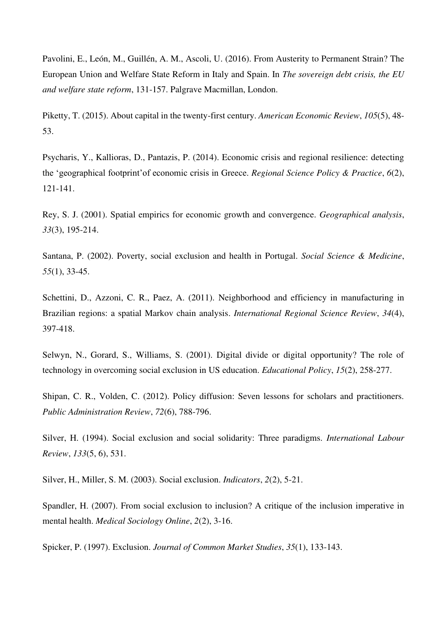Pavolini, E., León, M., Guillén, A. M., Ascoli, U. (2016). From Austerity to Permanent Strain? The European Union and Welfare State Reform in Italy and Spain. In *The sovereign debt crisis, the EU and welfare state reform*, 131-157. Palgrave Macmillan, London.

Piketty, T. (2015). About capital in the twenty-first century. *American Economic Review*, *105*(5), 48- 53.

Psycharis, Y., Kallioras, D., Pantazis, P. (2014). Economic crisis and regional resilience: detecting the 'geographical footprint'of economic crisis in Greece. *Regional Science Policy & Practice*, *6*(2), 121-141.

Rey, S. J. (2001). Spatial empirics for economic growth and convergence. *Geographical analysis*, *33*(3), 195-214.

Santana, P. (2002). Poverty, social exclusion and health in Portugal. *Social Science & Medicine*, *55*(1), 33-45.

Schettini, D., Azzoni, C. R., Paez, A. (2011). Neighborhood and efficiency in manufacturing in Brazilian regions: a spatial Markov chain analysis. *International Regional Science Review*, *34*(4), 397-418.

Selwyn, N., Gorard, S., Williams, S. (2001). Digital divide or digital opportunity? The role of technology in overcoming social exclusion in US education. *Educational Policy*, *15*(2), 258-277.

Shipan, C. R., Volden, C. (2012). Policy diffusion: Seven lessons for scholars and practitioners. *Public Administration Review*, *72*(6), 788-796.

Silver, H. (1994). Social exclusion and social solidarity: Three paradigms. *International Labour Review*, *133*(5, 6), 531.

Silver, H., Miller, S. M. (2003). Social exclusion. *Indicators*, *2*(2), 5-21.

Spandler, H. (2007). From social exclusion to inclusion? A critique of the inclusion imperative in mental health. *Medical Sociology Online*, *2*(2), 3-16.

Spicker, P. (1997). Exclusion. *Journal of Common Market Studies*, *35*(1), 133-143.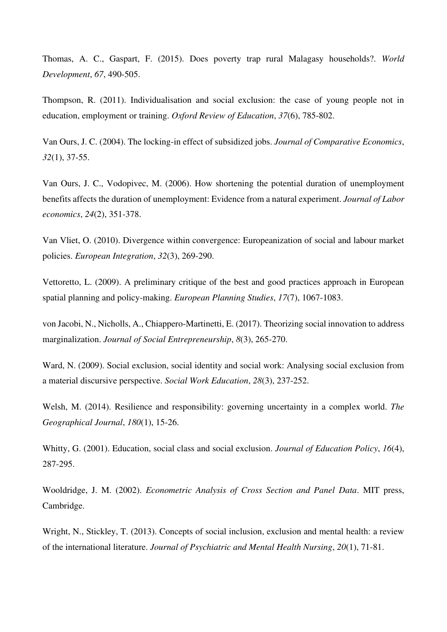Thomas, A. C., Gaspart, F. (2015). Does poverty trap rural Malagasy households?. *World Development*, *67*, 490-505.

Thompson, R. (2011). Individualisation and social exclusion: the case of young people not in education, employment or training. *Oxford Review of Education*, *37*(6), 785-802.

Van Ours, J. C. (2004). The locking-in effect of subsidized jobs. *Journal of Comparative Economics*, *32*(1), 37-55.

Van Ours, J. C., Vodopivec, M. (2006). How shortening the potential duration of unemployment benefits affects the duration of unemployment: Evidence from a natural experiment. *Journal of Labor economics*, *24*(2), 351-378.

Van Vliet, O. (2010). Divergence within convergence: Europeanization of social and labour market policies. *European Integration*, *32*(3), 269-290.

Vettoretto, L. (2009). A preliminary critique of the best and good practices approach in European spatial planning and policy-making. *European Planning Studies*, *17*(7), 1067-1083.

von Jacobi, N., Nicholls, A., Chiappero-Martinetti, E. (2017). Theorizing social innovation to address marginalization. *Journal of Social Entrepreneurship*, *8*(3), 265-270.

Ward, N. (2009). Social exclusion, social identity and social work: Analysing social exclusion from a material discursive perspective. *Social Work Education*, *28*(3), 237-252.

Welsh, M. (2014). Resilience and responsibility: governing uncertainty in a complex world. *The Geographical Journal*, *180*(1), 15-26.

Whitty, G. (2001). Education, social class and social exclusion. *Journal of Education Policy*, *16*(4), 287-295.

Wooldridge, J. M. (2002). *Econometric Analysis of Cross Section and Panel Data*. MIT press, Cambridge.

Wright, N., Stickley, T. (2013). Concepts of social inclusion, exclusion and mental health: a review of the international literature. *Journal of Psychiatric and Mental Health Nursing*, *20*(1), 71-81.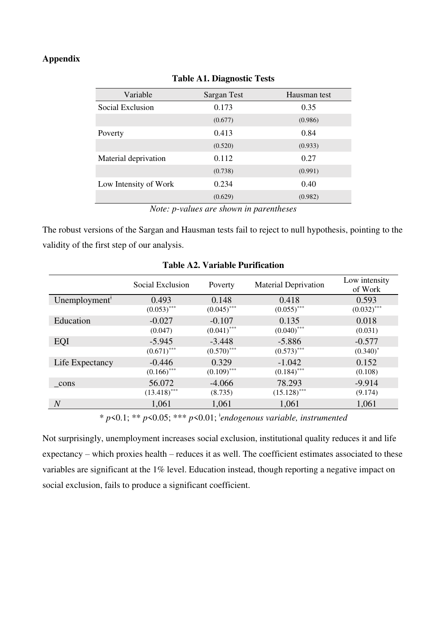# **Appendix**

| Variable              | Sargan Test                                                  | Hausman test |
|-----------------------|--------------------------------------------------------------|--------------|
| Social Exclusion      | 0.173                                                        | 0.35         |
|                       | (0.677)                                                      | (0.986)      |
| Poverty               | 0.413                                                        | 0.84         |
|                       | (0.520)                                                      | (0.933)      |
| Material deprivation  | 0.112                                                        | 0.27         |
|                       | (0.738)                                                      | (0.991)      |
| Low Intensity of Work | 0.234                                                        | 0.40         |
|                       | (0.629)                                                      | (0.982)      |
| $\mathbf{v}$          | $\mathbf{r}$<br>$\mathbf{r}$ , and the state of $\mathbf{r}$ | $\mathbf{r}$ |

**Table A1. Diagnostic Tests** 

The robust versions of the Sargan and Hausman tests fail to reject to null hypothesis, pointing to the validity of the first step of our analysis.

|                           | Social Exclusion | Poverty       | <b>Material Deprivation</b> | Low intensity<br>of Work |
|---------------------------|------------------|---------------|-----------------------------|--------------------------|
| Unemployment <sup>†</sup> | 0.493            | 0.148         | 0.418                       | 0.593                    |
|                           | $(0.053)$ ***    | $(0.045)$ *** | $(0.055)$ ***               | $(0.032)$ ***            |
| Education                 | $-0.027$         | $-0.107$      | 0.135                       | 0.018                    |
|                           | (0.047)          | $(0.041)$ *** | $(0.040)$ ***               | (0.031)                  |
| EQI                       | $-5.945$         | $-3.448$      | $-5.886$                    | $-0.577$                 |
|                           | $(0.671)$ ***    | $(0.570)$ *** | $(0.573)$ ***               | $(0.340)^*$              |
| Life Expectancy           | $-0.446$         | 0.329         | $-1.042$                    | 0.152                    |
|                           | $(0.166)$ ***    | $(0.109)$ *** | $(0.184)$ ***               | (0.108)                  |
| cons                      | 56.072           | $-4.066$      | 78.293                      | $-9.914$                 |
|                           | $(13.418)$ ***   | (8.735)       | $(15.128)$ ***              | (9.174)                  |
| $\overline{N}$            | 1,061            | 1,061         | 1,061                       | 1,061                    |

#### **Table A2. Variable Purification**

\* *p*<0.1; \*\* *p*<0.05; \*\*\* *p*<0.01; *<sup>ǂ</sup> endogenous variable, instrumented*

Not surprisingly, unemployment increases social exclusion, institutional quality reduces it and life expectancy – which proxies health – reduces it as well. The coefficient estimates associated to these variables are significant at the 1% level. Education instead, though reporting a negative impact on social exclusion, fails to produce a significant coefficient.

*Note: p-values are shown in parentheses*